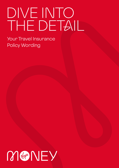# DIVE INTO THE DETAIL

Your Travel Insurance Policy Wording

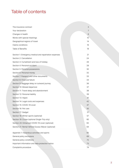# Table of contents

| The insurance contract                                 | 3               |
|--------------------------------------------------------|-----------------|
| Your declaration                                       | 7               |
| Changes in health                                      | 8               |
| Words with special meanings                            | 10 <sup>°</sup> |
| Geographical regions of travel                         | 14              |
| Claims conditions                                      | 16              |
| Table of Benefits                                      | 19              |
|                                                        |                 |
| Section 1: Emergency medical and repatriation expenses | 21              |
| Section 2: Cancellation                                | 24              |
| Section 3: Curtailment and loss of holiday             | 26              |
| Section 4: Personal accident                           | 28              |
| Section 5: Personal possessions                        | 30              |
| Section 6: Personal money                              | 32              |
| Section 7: Passport and other documents                | 33              |
| Section 8: Financial failure                           | 34              |
| Section 9: Baggage delay on outward journey            | 36              |
| Section 10: Missed departure                           | 37              |
| Section 11: Travel delay and abandonment               | 38              |
| Section 12: Personal liability                         | 39              |
| Section 13: Hijack                                     | 41              |
| Section 14: Legal costs and expenses                   | 42              |
| Section 15: COVID-19 cover                             | 47              |
| Section 16: Pet care                                   | 50              |
| Section 17: Gadget                                     | 51              |
| Section 18: Winter sports (optional)                   | 57              |
| Section 19: Cruise (optional Single-Trip only)         | 60              |
| Section 20: Enhanced COVID-19 cover (optional)         | 62              |
| Section 21: Rental Vehicle Excess Waiver (optional)    | 64              |
|                                                        |                 |
| Appendix 1: Hazardous activities and sports            | 65              |
| General policy exclusions                              | 69              |
| General policy conditions                              | 72              |
| Important information and data protection notice       | 73              |
| Complaints procedure                                   | 74              |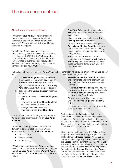# The insurance contract

# About Your insurance Policy

Throughout **Your Policy**, certain words have special meanings and these are listed and explained in the section "Words with Special Meanings". These words are highlighted in bold wherever they appear.

Virgin Money Travel Insurance is sold and administered by Hood Travel Limited, registered in England No. 08318836 at 52/54 Alexandra Street, Southend-on-Sea, Essex, SS1 1BJ. Hood Travel Limited is authorised and regulated by the Financial Conduct Authority under Financial Services Register no. 597211.

To be eligible for cover under this **Policy, You** must be:

- a. In the **United Kingdom** when the **Policy**  is purchased (except when **You** renew an existing Annual Multi-Trip policy); and
- b. Aged 80 or under at the start of the **Policy Period** for Annual Multi-Trip policies; and
- c. Resident in the **United Kingdom**, meaning that **You**:
	- Have an address in the **United Kingdom;** and
	- Have lived in the **United Kingdom** for at least 6 of the last 12 months; and
	- Are registered with a General Practitioner in the **United Kingdom**.

The maximum duration for Single-Trip policies is 90 days unless otherwise shown on **Your Policy Schedule**.

For Annual Multi-Trip policies, the maximum duration of cover available per trip, unless otherwise shown on **Your Policy Schedule**, is:

- Red 31 days
- Silver 45 days
- Gold 94 days

If **You** have any queries about **Your** cover, **You** can call **Our** Customer Helpline on 0330 175 8283 and tell **Us Your Policy** number. **We** want **You** to get the most from **Your Policy** and to do this **You** should:

- Read **Your Policy** carefully and make sure **You** have the level of cover that meets **Your** needs.
- Make sure **You** have declared any **Preexisting Medical Conditions**.
- Contact **Us** if there are any changes to **Pre-existing Medical Conditions** or new medical conditions; failure to do so may result in a claim being rejected or payment being reduced.
- Make sure that **You** understand the conditions and exclusions which apply to **Your Policy** because if **You** do not meet these conditions it may affect any claim that **You** make.

Remember, no policy covers everything. **We** do not cover certain things such as:

- **Pre-existing Medical Conditions** (unless) the appropriate additional premium has been paid and **We** have agreed them in writing).
- **Hazardous Activities and Sports**. **You** will not be covered when taking part in certain **Hazardous Activities and Sports**. Please see "Appendix 1" for details.
- Children when travelling independently under a **Family** or **Single-Parent Family** policy.
- Uninsured losses e.g. the cost of obtaining a Police or medical report.

Each section of the **Policy** has a limit on the amount **We** will pay under that section, called the sum insured. Some sections also include inner limits e.g. for a single item or for **Valuables** in total. The sums insured and inner limits for each section are shown in the "Table of Benefits".

Claims under most sections of the **Policy** will be subject to an **Excess,** which applies per claim per section for each **Insured Person**. Where **We** are making a claims payment to **You**, **We** will deduct the **Excess** from the payment amount. Where **We** are settling a claims invoice directly with a medical provider or other supplier, **You** will be responsible for paying **Us** the **Excess**. The amount of **Excess** per person for each section of cover is shown in the "Table of Benefits". This will not apply if **You** have purchased the **Excess Waiver** option.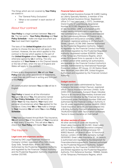The things which are not covered by **Your Policy**  are stated in:

- The "General Policy Exclusions"
- "What is not covered" in each section of cover

# About Your contract

**Your Policy** is a legal contract between **You** and **Us**. The two parts – **Your Policy Wording** and **Your Policy Schedule** – make one legal document and You must read them together.

The laws of the **United Kingdom** allow both parties to choose the law which will apply to this contract. However, the law which applies to this contract is the law which applies to the part of the **United Kingdom** where **Your Home** is, unless otherwise agreed by **Us** in writing. The only exception is if **Your Home** is in the Channel Islands or the Isle of Man, when the law of England and Wales will apply to this contract.

If there is any disagreement, **We** will use **Your Policy** over any other assurances or statements, unless they are confirmed in writing and form part of the **Policy**.

All communication between **You** and **Us** will be in English.

**Your Policy** is based on all the information **You** gave **Us** about **You,** the person(s) named on **Your Policy Schedule,** other person(s) on whom **Your** trip may depend, **Your** trip(s) and personal circumstances when **You** applied for the insurance. Every time **We** or **You** make a change to **Your** insurance **We** will send **You** a new **Policy Schedule**.

If **You** have purchased Annual Multi-Trip insurance, **We** will remind **You** of the details of **Your** insurance at least every 12 months. This will allow **You** to check that **Your Policy** still meets **Your** needs.

# The Insurers

#### **Legal costs and expenses section:**

Insured by DAS Legal Expenses Insurance Company Limited, registered office DAS House, Quay Side, Temple Back, Bristol, BS1 6NH. Authorised by the Prudential Regulation Authority and regulated by the Financial Conduct Authority and the Prudential Regulation Authority (registered number 202106).

#### **Financial failure section:**

Liberty Mutual Insurance Europe SE (LMIE) trading as Liberty Specialty Markets, a member of the Liberty Mutual Insurance Group. Registered office: 5-7 rue Leon Laval, L-3372, Leudelange, Grand Duchy of Luxembourg, Registered Number B232280 (Registre de Commerce et des Sociétés). LMIE is a European public limited liability company and is supervised by the Commissariat aux Assurances and licensed by the Luxembourg Minister of Finance as an insurance and reinsurance company. LMIE's UK branch registered address is 20 Fenchurch Street, London, EC3M 3AW. Deemed authorised by the Prudential Regulation Authority. Subject to regulation by the Financial Conduct Authority and limited regulation by the Prudential Regulation Authority (registered number 829959). Details of the Temporary Permissions Regime, which allows EEA-based firms to operate in the UK for a limited period while seeking full authorisation, are available on the Financial Conduct Authority's website. Administered by International Passenger Protection Limited, IPP House, 22-26 Station Road, West Wickham, Kent BR4 0PR, United Kingdom. Authorised and regulated by the Financial Conduct Authority.

#### **Gadget section:**

Arranged and claims administered by Taurus Insurance Services Limited (Taurus), registered office: Taurus Insurance Services Limited. Suite 2209-2217, Eurotowers, Europort Road, Gibraltar. Taurus is an insurance intermediary licensed and authorised in Gibraltar by the Financial Services Commission under Permission Number 5566 and authorised by the Financial Conduct Authority in the UK under registration number 444830. ERGO Travel Insurance Services Ltd have entered into a Binding Authority Contract reference number TAURUS01032021 with Taurus which authorises Taurus to issue insurance on their behalf.

#### **All other sections of cover:**

All other sections of cover are insured by Great Lakes Insurance SE (GLISE). Great Lakes Insurance SE is a German insurance company with its headquarters at Königinstrasse 107, 80802 Munich. UK Branch office: 10 Fenchurch Avenue, London, EC3M 5BN, company number SE000083. Great Lakes Insurance SE, UK Branch, is authorised and regulated by Bundesanstalt für Finanzdienstleistungsaufsicht. Deemed authorised by the Prudential Regulation Authority. Subject to regulation by the Financial Conduct Authority and limited regulation by the Prudential Regulation Authority. Firm Reference Number: 769884. Details of the Temporary Permissions Regime, which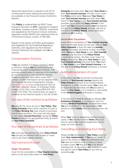allows EEA based firms to operate in the UK for a limited period while seeking full authorisation, are available on the Financial Conduct Authority's website.

This **Policy** is underwritten by ERGO Travel Insurance Services Ltd (**ETI**), registered in England and Wales, company number 11091555. Authorised and regulated by the Financial Conduct Authority, registered number 805870 and registered office at 10 Fenchurch Avenue, London, EC3M 5BN.

Details of the extent of GLISE's authorisation and regulation by the Prudential Regulation Authority, and regulation by the Financial Conduct Authority are available from **Us** on request.

# Compensation Scheme

If **You** are resident in England, Scotland, Wales or Northern Ireland, **You** are protected by the Financial Services Compensation Scheme. This provides compensation in case any of its members go out of business or into liquidation and are unable to meet any valid claims under their policies. Further information can be obtained from the Financial Services Compensation Scheme [\(www.fscs.org.uk](http://www.fscs.org.uk)) or by contacting the FSCS at 10th Floor, Beaufort House, 15 St Botolph Street, London, EC3A 7QU or by calling 0800 678 1100 or 020 7741 4100. This scheme does not apply to residents of the Channel Islands or the Isle of Man.

# Our part of the contract is as follows

**We** provide the cover set out in **Your Policy**. **Your Policy Schedule** shows which sections of cover in the **Policy Wording You** have chosen to purchase, and the total premium. This cover will only apply to the named **Insured Person(s)**, during the **Policy Period** and within the geographical limits all shown on **Your Policy Schedule**.

# Your part of the contract is as follows

**You** must pay the premium for each **Policy Period**. **You** can pay the premium with a debit or credit card or any other agreed method.

# Start and end of cover

## **Single-Trip policies:**

Cover for the cancellation of **Your Insured Journey** starts on the issue date shown on **Your Policy** 

**Schedule** and ends when **You** leave **Your Home** to start **Your Insured Journey**. All other cover under this **Policy** starts when **You** leave **Your Home** to start **Your Insured Journey** and ends when **You**  return to **Your Home** to end **Your Insured Journey**, provided this is within the **Policy Period**. In the event that **You** choose to extend **Your** trip beyond the end of the **Policy Period**, all cover will end at the end of the **Policy Period**, unless otherwise agreed by **Us** in writing.

#### **Annual Multi-Trip policies:**

Cover for the cancellation of **Your Insured Journey** starts on the date shown as the start date on **Your Policy Schedule** or from the date the **Insured Journey** is booked (whichever is later) and ends when **You** leave **Your Home** to start **Your Insured Journey** or at the end of the **Policy Period** (whichever is sooner). All other cover under this **Policy** starts when **You** leave **Your Home** to start **Your Insured Journey** and ends when **You** return to **Your Home** to end **Your Insured Journey** or at the end of the **Policy Period** (whichever is sooner).

# Automatic extension of cover

In the event that **You** are forced to extend the duration of **Your Insured Journey** beyond the **Policy Period** as a result of an insured medical emergency or other insured cause, **Your** cover will be automatically extended until **You** are able to return to **Your Home** or to a medical or care facility in the **United Kingdom** (whichever is sooner).

In the event of a medical emergency abroad, **Our Assistance Company**, in consultation with the treating **Medical Practitioner,** will determine when **You** are medically fit to be repatriated. If **You**  decline to return **Home** after this time, all cover will end.

When **Your** return is delayed by another insured cause, if **You** decline to return **Home** after such time as reasonable travel arrangements can be made, all cover will end.

# Cancelling or amending Your Policy

Please tell **Us** immediately if **Your Policy** does not meet **Your requirements**. If **You** cancel within 14 days of the receipt of **Your** documentation and **You** have not started a trip or made or intend to make a claim, **We** will give **You** a full refund. Following this 14 day period, **You** continue to have the right to cancel **Your Policy** at any time by contacting **Us**.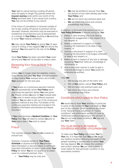Your right to cancel during a cooling off period does not apply to Single-Trip policies where the **Insured Journey** ends within one month of the **Policy** purchase date. If you cancel such a policy, You may not be entitled to any refund.

If the notice of cancellation is received outside of the 14 day cooling-off period no premium will be refunded. However, discretion may be exercised in exceptional circumstances such as bereavement or a change to **Your Policy** resulting in **Us** declining to cover **Your** medical conditions.

**We** may cancel **Your Policy** by giving **You** 14 days' notice in writing. If this happens **We** will refund the premium **You** have paid for the rest of the **Policy Period**.

Once **Your Policy** has been cancelled **Your** cover will end and **You** will not be able to make a claim.

## Renewing Your Annual Multi-Trip **Policy**

Unless **You** no longer meet the eligibility criteria, Virgin Money will send **You Your** renewal invitation 30 days before **Your** renewal which will include Your premium for the next year.

If **You** renew on a continuous payment method, **We** will automatically renew **Your Policy** each year using the payment details **You** have given **Us**. Please contact **Us** prior to **Your** renewal date if **You** wish to renew using a different payment method. **You** are able to opt out of the continuous payment method at any time. Full details of the continuous payment method are included in the Essential Information and Demand and Needs document.

If **You** have declared a **Medical Condition** on **Your Policy** then **You** will need to contact **Us** prior to **Your** expiry date if **You** wish to renew.

# **Fraud**

The contract between **You** and **Us** is based on mutual trust.

However, if anyone named on **Your Policy Schedule** or anyone acting for **You** provides false information or documentation or withholds important information to obtain cover under **Your Policy** for which **You** do not qualify, or to obtain cover at a reduced premium, then:

Your Policy may be void; and

- **We** may be entitled to recover from **You** the amount of any claim already paid under **Your Policy**; and
- We will not return any premium paid; and
- **We** will inform the Police and criminal proceedings may follow.

In addition, in the event that anyone named on **Your Policy Schedule** or anyone acting for **You**:

- 1. Makes a claim knowing this to be false or fraudulently exaggerated in any respect or to any degree; or
- 2. Makes a statement in support of a claim knowing the statement to be false in any respect; or
- 3. Submits a document in support of a claim knowing the document to be forged, amended or false in any respect; or
- 4. Makes a claim in respect of any loss or damage caused by **Your**/their wilful act, knowledge or connivance; or
- 5. Acts in any other manner in order to gain a financial advantage to which **You** would not otherwise be entitled;

#### Then **We**:

- Will not pay any part of the claim; and
- Will, at **Our** option, cancel **Your Policy**; and
- Will not return any premium paid; and
- Will inform the Police and criminal proceedings may follow.

# Conditions which apply to Your Policy

**We** would like to draw **Your** attention in particular to some of the conditions **You** must meet as **Your**  part of the contract. Other conditions are shown in the "General Policy conditions", in "Claims conditions" and within each section of cover as "Additional conditions applying to this section". If **You** do not meet these conditions, **We** may not pay **Your** claim.

## You must declare all medical conditions and other circumstances

To make sure **Your Policy** fully covers **You** for **Your** trip, it is important that **You** tell **Us** about any medical condition affecting the health of the people travelling or anyone else on whom **Your**  trip may depend. **We** will assess the condition and confirm whether **We** can issue a policy to cover claims for that particular condition or any associated condition.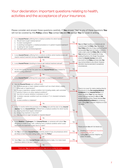# Your declaration: important questions relating to health, activities and the acceptance of your insurance.

Please consider and answer these questions carefully. If **You** answer "Yes" to any of these questions **You** will not be covered by this **Policy** unless **You** contact **Us** and **We** accept **You** for cover in writing.

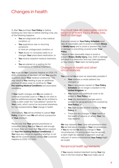# Changes in health

If, after **You** purchase **Your Policy** or before booking any new trips or before starting a trip, any of the following happens:

- **You** are diagnosed with a new medical condition; or
- You experience new or recurring symptoms or have an undiagnosed condition; or
- **Your** doctor or consultant adds to or changes **Your** prescribed medication; or
- **You** receive inpatient medical treatment; or
- **You** are placed on a waiting list for investigation or medical treatment;

**You** must call **Our** Customer Helpline on 0330 175 8283. A member of the team will ask **You** specific questions about **Your** medical condition(s). This may result in **You** needing to pay an additional premium to allow cover to continue for **Your Pre-existing Medical Conditions** and associated conditions.

If **Your** health changes and **We** are unable to continue to provide cover or if **You** do not wish to pay the additional premium, **You** will be entitled to make a claim under the "Cancellation" section for **Your** costs, which cannot be recovered elsewhere, for trips booked before **Your** change in health.

Alternatively, **You** will be entitled to cancel **Your Policy**, in which case **We** will refund a proportion of **Your** premium.

Please note that **Your** general practitioner or consultant telling **You** that **You** are well enough to travel does not mean that **You** will be covered for **Your Pre-existing Medical Condition(s)**. If **You** have any concerns regarding whether or not **You** will be covered please contact **Our** Customer Helpline on 0330 175 8283.

## You must take all reasonable care to avoid or prevent Injury, Illness, loss, theft or damage

Everyone named on **Your Policy Schedule** must take all reasonable care to avoid or prevent **Illness** or **Bodily Injury** and to avoid or prevent loss, theft or damage to everything covered under **Your Policy**.

Failure to take reasonable steps to avoid or prevent **Illness, Bodily Injury,** loss, theft or damage will result in a deduction from any claim payment, or may result in **Your** claim not being paid.

# Changes in health and other circumstances

**You** must tell **Us** as soon as reasonably possible if:

- **Your** address or email address has changed; or
- **You** or any person named on **Your Policy Schedule** are no longer a resident in the **United Kingdom**; or
- You require any additional cover to be added to **Your Policy**; or
- Your trip destination changes and is outside the geographical limits covered by **Your Policy**; or
- **You** wish to add another traveller to **Your Policy**; or
- There are any changes in **Your** health or the health of anyone on whom **Your** trip may depend.

**We** may reassess **Your** cover and premiums when **We** are told about changes in **Your** circumstances. If **You** do not tell **Us** about a change in **Your**  circumstances, the wrong terms may be quoted, a claim might be rejected or payment could be reduced. In some circumstances **Your Policy** might be invalid.

# Reciprocal health agreements

If **You** require medical treatment during **Your** trip then in the first instance **You** must make use of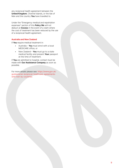any reciprocal health agreement between the **United Kingdom**, Channel Islands, or the Isle of Man and the country **You** have travelled to.

Under the "Emergency medical and repatriation expenses" section of this **Policy We** will not deduct an **Excess** in the event of a claim where the cost of treatment has been reduced by the use of a reciprocal health agreement.

#### **Australia and New Zealand**

If **You** require medical treatment in:

- Australia **You** must enrol with a local MEDICARE office; or
- New Zealand **You** must go to a state medical facility and present **Your** passport at the time of treatment.

If **You** are admitted to hospital, contact must be made with **Our Assistance Company** as soon as possible.

For more details please see: [https://www.gov.uk/](https://www.gov.uk/guidance/uk-reciprocal-healthcare-agreements-with-non-eu-countries) [guidance/uk-reciprocal-healthcare-agreements](https://www.gov.uk/guidance/uk-reciprocal-healthcare-agreements-with-non-eu-countries)[with-non-eu-countries](https://www.gov.uk/guidance/uk-reciprocal-healthcare-agreements-with-non-eu-countries)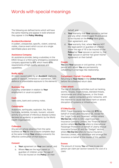# Words with special meanings

The following are defined terms which will have the same meaning and appear in bold wherever they appear in the **Policy Wording**:

#### **Accident/Accidental**

A sudden, unexpected, specific, violent, external, visible, chance event which occurs at a single identifiable place and time.

#### **Assistance Company**

An assistance provider, being a subsidiary in the ERGO Group or a third-party emergency assistance company appointed by **ETI**, which meets **ETI**'s requirements of high-quality services and capabilities.

#### **Bodily Injury**

An injury caused solely by an **Accident**, asphyxia, gases or vapours, immersion or submersion, selfdefence or unavoidable exposure to the elements.

#### **Business Trip**

A journey undertaken in relation to **Your** employment or usual occupation.

#### **Cash**

Valid coins, bank and currency notes.

#### **Catastrophe**

Avalanche, earthquake, explosion, fire, flood, hurricane, landslide, tornado, tsunami, volcanic activity or outbreak of infectious disease (unless declared an epidemic or pandemic by the World Health Organisation).

#### **Colleague**

Any person whose absence from the same business as **You** for one or more complete days at the same time as **Your** absence prevents the effective continuation of that business.

#### **Consent**

- a. **Your** agreement on **Your** own behalf; and
- b. Where **You** are the legal parent or guardian of children under the age of 16 to be insured on the **Policy**, on their

behalf; and

- c. **Your** warranty that **Your** spouse or partner and any other children aged 16 and above to be insured on the **Policy** have given their agreement; and
- d. **Your** warranty that, where **You** are NOT the legal parent or guardian of children under the age of 16 to be insured on the **Policy** but **Your** spouse or partner is, that **Your** spouse or partner has given his/her agreement on their behalf.

#### **Couple**

**You** and **Your** spouse or civil partner, or the person with whom **You** are permanently cohabiting in a marriage-like relationship.

#### **Curtailment / Curtail / Curtailing**

Returning to **Your Home** in the **United Kingdom** before the scheduled return date.

#### **Cyber-attack**

The use of disruptive activities such as hacking, worms, viruses, trojan horses, blended threats, ransomware and other malware, or the threat thereof, against computers and/or networks, with the intention to cause real-world harm or severe disruption of systems or infrastructure.

#### **ETI/We/Our/Us**

ERGO Travel Insurance Services Ltd (**ETI**) on behalf of Great Lakes Insurance SE, except for the "Legal Costs and Expenses" section where **We**/**Our**/**Us** refers to DAS Legal Expenses Insurance Company Limited, the "Financial failure" section where **We**/**Our**/**Us** refers to International Passenger Protection on behalf of Liberty Mutual Insurance Europe SE and the "Gadget" section where **We**/**Our**/**Us** refers to Taurus Insurance Services Limited, who administer and arrange the insurance on behalf of the insurer of this section.

#### **Excess**

The amount of money **You** will have to pay per person per claim per section towards the cost of a claim.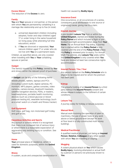#### **Excess Waiver**

The reduction of the **Excess** to zero.

#### **Family**

**You** and **Your** spouse or civil partner, or the person with whom **You** are permanently cohabiting in a marriage-like relationship and up to five (in total):

- a. unmarried dependent children (including adopted, foster and step-children) aged 17 or under living in the same household (or living away while attending full time education); and/or
- b. if **You** are divorced or separated, **Your** natural children aged 17 or under who do not live with **You** on a permanent basis.

Children, as specified above, are only covered when travelling with **You** or **Your** cohabiting spouse or partner.

#### **Gadget**

The item(s) insured by this **Policy**, owned by **You** and shown within the relevant proof of purchase.

A **Gadget** can be any of the following items:

Mobile phones, tablets, laptops and PC's (including custom built), digital cameras, PC monitors, MP3 players, games consoles, video cameras, camera lenses, bluetooth headsets, satellite navigation devices, PDAs, e-readers, head/earphones, portable health monitoring devices (such as a blood glucose or blood pressure testing kit), wearable technology (such as a smart watch or a health and fitness tracker).

#### **Golf Equipment**

Golf clubs, golf bag, non-motorised golf trolley and golf shoes.

#### **Hazardous Activities and Sports**

Any pursuit or activity where it is recognised that there is an increased risk of serious injury or where there is a reasonable expectation of aggravating any existing injury or condition. See "Appendix 1".

#### **Home**

**Your** principal place of residence, which is used for domestic purposes, within the **United Kingdom**.

#### **Illness**

A sudden, acute and unexpected deterioration in

health not caused by **Bodily Injury**.

#### **Insurance Event**

One occurrence, or all occurrences of a series, consequent on or attributable to one source or originating cause, giving rise to a claim.

#### **Insured Journey**

A pre-booked **Leisure Trip** from or within the **United Kingdom**, started and ended during the **Policy Period** and which includes a flight or prebooked overnight accommodation away from **Your Home**. For an Annual Multi-Trip policy, a journey that is started within the **Policy Period** is only covered until the end of the **Policy Period** unless the **Policy** is renewed prior to expiry. For Annual Multi-Trip policies, any **Leisure Trip** solely within the **United Kingdom** is only covered when **You** have pre-booked at least two consecutive nights accommodation.

#### **Insured Person / You / Your**

Any person named on the **Policy Schedule** who is eligible to be insured and for whom the premium has been paid.

#### **Kidnap**

The unlawful holding of an **Insured Person** by a third party without the **Insured Person's** consent and whose release is subject to the fulfilment of certain conditions.

#### **Leisure Trip**

A journey solely for holiday or leisure purposes.

#### **Manual Work**

Manual work involving the operation of plant or machinery, the use of power tools or any work above or below ground level (except for work at floor level in a fully-constructed multi-storey building).

#### **Medical Practitioner**

A qualified medical physician, not being an **Insured Person**, **Relative, Colleague** or any other person with whom **You** are travelling or staying.

#### **Mugging**

A violent physical attack on **You** which causes **Bodily Injury**, involving attempted or actual theft by a person or persons not previously known to **You**.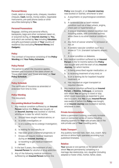#### **Personal Money**

Credit, debit or charge cards, cheques, travellers cheques, **Cash**, bonds, money orders, negotiable instruments, pre-paid phone cards or other securities belonging to **You**.

#### **Personal Possessions**

Baggage, clothing and personal effects, backpacks, bags and other containers taken on, or acquired during, an **Insured Journey** by **You,** and which are owned by **You** including **Valuables** and gifts purchased outside of **Your** country of residence (but excluding **Personal Money** and **Gadgets**).

#### **Policy**

The contract of insurance consisting of the **Policy Wording** and **Your Policy Schedule**.

#### **Policy Period**

The period to which the insurance applies. between and inclusive of the dates shown as "Cover start date" and "Cover end date" on **Your Policy Schedule**.

#### **Policy Schedule**

The certificate of insurance as amended or endorsed from time to time.

#### **Policy Wording**

This document.

#### **Pre-existing Medical Condition(s)**

- 1. Any medical condition suffered by an **Insured Person** before this **Policy** was bought, or an **Insured Journey** was booked or started, whichever is later for which he/she:
	- a. Should have sought medical advice; or
	- b. Is under investigation; or
	- c. Is on a waiting list to undergo investigation; or
	- d. Is waiting for test results; or
	- e. Has been given a terminal prognosis; or
	- f. Knows will require medical treatment during an **Insured Journey**; or
	- g. Is travelling to get medical treatment abroad.
- 2. In the last 5 years, the treatment of any **Insured Person** for alcohol or drug addiction.
- 3. Any of the following medical conditions, suffered by an **Insured Person** before this

**Policy** was bought, or an **Insured Journey** was booked or started, whichever is later:

- a. A psychiatric or psychological condition; or
- b. A cardiovascular or heart-related condition such as a heart attack, angina, chest pain or hypertension; or
- c. A lung or respiratory-related condition (not including stable, well-controlled asthma when there is no other medical condition); or
- d. Any form of cancer whether in remission or not; or
- e. A cerebro-vascular condition such as a stroke or T.I.A. (transient ischaemic attack); or
- f. A renal condition or diabetes.
- 4. Any medical condition suffered by an **Insured Person** in the 12 months before this **Policy** was bought and until the start of any **Insured Journey**, for which he/she:
	- a. Is being prescribed regular medication; or
	- b. Is receiving treatment of any kind; or
	- c. Is on a waiting list for inpatient hospital treatment; or
	- d. Has required an organ transplant or required dialysis.
- 5. Any medical condition suffered by an **Insured Person**, a **Relative**, **Colleague**, or someone with whom **You** are going to travel or stay which could reasonably be expected to give rise to a claim, that **You** or any **Insured Person** was aware of before this **Policy** was bought, or an **Insured Journey** was booked or started, whichever is later.

#### **Private Accommodation**

Within a permanent building, a securely lockable room or connected series of rooms including sleeping quarters for **Your** sole private use or the sole private use of **Your** travelling party.

#### **Public Transport**

Any publicly licensed train, tram, bus, coach, ferry service or airline flight operated according to a published timetable.

#### **Relative**

**Your** spouse or civil partner, or the person with whom **You** are permanently cohabiting in a marriage-like relationship, son, daughter (including adopted or foster child), mother, father, sister,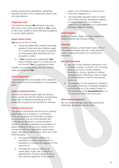brother, grandmother, grandfather, grandchild, fiancé(e) and next of kin, including the same in-law and step-relations.

#### **Single Item Limit**

The maximum amount **We** will pay for any one item, pair or set of items belonging to **You**. A pair or set is any number of items that belong together or can be used together.

#### **Single-Parent Family**

**You** and up to five (in total):

- a. unmarried dependent children (including adopted, foster and step-children) aged 17 or under living in the same household (or living away while attending full-time education); and/or
- b. if **You** are divorced or separated, **Your** natural children aged 17 or under who do not live with **You** on a permanent basis.

Children, as specified above, are only covered when travelling with **You**.

## **Sports Equipment**

Those articles which are usually worn, carried or held in the course of participation in a recognised sport.

#### **Strike or Industrial Action**

Any form of industrial action taken by workers that is carried out with the intention of preventing, restricting, or otherwise interfering with the production of goods or the provision of services.

#### **Terrorism/Terrorist Act**

The actual or threatened use of force or violence against persons or property, or commission of an act dangerous to human life or property, or commission of an act that interferes with or disrupts an electronic or communications system or network, undertaken by any person or group, whether or not acting on behalf of or in connection with any organisation, government, power, authority or military force, when any of the following apply:

- a. The apparent intent or effect is to intimidate or coerce a government or business or to disrupt any segment of the economy; or
- b. The apparent intent or effect is to cause alarm, fright, fear of danger or apprehension of public safety in one or more distinct segments of the general

public, or to intimidate or coerce one or more such segments; or

c. The reasonably apparent intent or effect is to further political, ideological, religious or cultural objectives, or to express support for (or opposition to) a philosophy, ideology, religion or culture.

#### **United Kingdom**

England, Scotland, Wales, Northern Ireland, the Channel Islands and the Isle of Man.

#### **Valuables**

Jewellery, antiques, articles made of gold, silver or other precious metals, precious or semi-precious stones, musical instruments, furs, watches and binoculars.

#### **War and Civil Unrest**

- a. Any sort of war (whether declared or not), hostility, invasion, revolution, act of foreign enemy, civil war or unrest, rebellion, insurrection, mutiny, uprising or military usurped power, martial law, state of siege or United Nations or NATO enforcement action; or
- b. The explosion of war weapon(s), utilisation of nuclear, chemical or biological weapons or the hostile act of an enemy foreign to the nationality of the **Insured Person** or of the country in which the act occurs.

#### **Winter Sports Equipment**

Skis, ski-boots, bindings, mono-skis, snowboards, splitboards, ski-helmets and ski-poles.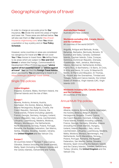# Geographical regions of travel

In order to charge an accurate price for **Our** insurance, **We** divide the world into areas of higher and lower risk. These areas are defined below. **You**  will also see them on **Our** website [http://travel](http://travel-insurance.virginmoney.com/)[insurance.virginmoney.com/](http://travel-insurance.virginmoney.com/) when **You** obtain a quotation or buy a policy and on **Your Policy Schedule**.

However, some countries or areas are considered too dangerous for travel and **We** will not cover **You** if **You** choose to travel there. **We** define these to be areas which are subject to **War and Civil Unrest** or where the Foreign, Commonwealth & Development Office (FCDO) has issued **"advice against all but essential travel"** or **"advice against all travel"**. **You** can find this **Foreign Travel Advice** about any country **You** are planning to travel to at <https://www.gov.uk/foreign-travel-advice>

## Single-Trip policies

#### **United Kingdom**

England, Scotland, Wales, Northern Ireland, the Channel Islands and the Isle of Man.

#### **Europe 1**

Albania, Andorra, Armenia, Austria, Azerbaijan, the Azores, Belarus, Belgium, Bosnia Herzegovina, Bulgaria, Croatia, the Czech Republic, Denmark, Estonia, the Faroe Islands, Finland (including Lapland), France, Georgia, Germany, Hungary, Iceland, Ireland (Republic), Italy, Latvia, Liechtenstein, Lithuania, Luxembourg, Madeira, Moldova, Monaco, Montenegro, the Netherlands, North Macedonia, Norway, Poland, Portugal, Romania, the Russian Federation, San Marino, Serbia, Slovakia, Slovenia, Sweden, Ukraine, the **United Kingdom** and the Vatican City.

#### **Europe 2**

All countries listed in "Europe 1" plus Cyprus, Gibraltar, Greece (including the Greek Islands), Malta, Spain (including the Balearic Islands and the Canary Islands), Switzerland and Turkey.

**Australia/New Zealand** Australia and New Zealand.

#### **Worldwide excluding USA, Canada, Mexico and the Caribbean**

All countries of the world EXCEPT:

Anguilla, Antigua and Barbuda, Aruba, Bahamas, Barbados, Bermuda, Bonaire, St Eustatius and Saba, Canada, Caribbean Islands, Cayman Islands, Cuba, Curaçao, Dominica, Dominican Republic, Grenada, Guadeloupe, Haiti, Jamaica, Martinique, Mexico, Montserrat, Netherlands Antilles, Puerto Rico, St Barthelemy / St Barts, St Croix, St Kitts and Nevis, St Lucia, St Maarten/St Martin, St Pierre and Miquelon, St Thomas, St Vincent and the Grenadines, Trinidad and Tobago, Turks and Caicos Islands, the United States of America, Virgin Islands (UK), Virgin Islands (US).

**Worldwide including USA, Canada, Mexico and the Caribbean** All countries of the world.

# Annual Multi-Trip policies

#### **Europe**

Albania, Andorra, Armenia, Austria, Azerbaijan, the Azores, Belarus, Belgium, Bosnia Herzegovina, Bulgaria, Croatia, Cyprus, the Czech Republic, Denmark, Estonia, the Faroe Islands, Finland (including Lapland), France, Georgia, Germany, Gibraltar, Greece (including the Greek Islands), Hungary, Iceland, Ireland (Republic), Italy, Latvia, Liechtenstein, Lithuania, Luxembourg, Madeira, Malta, Moldova, Monaco, Montenegro, the Netherlands, North Macedonia, Norway, Poland, Portugal, Romania, the Russian Federation, San Marino, Serbia, Slovakia, Slovenia, Spain (including the Balearic Islands and the Canary Islands), Sweden, Switzerland, Turkey, Ukraine, the **United Kingdom** and the Vatican City.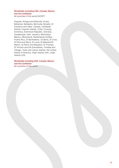#### **Worldwide excluding USA, Canada, Mexico and the Caribbean**

All countries of the world EXCEPT:

Anguilla, Antigua and Barbuda, Aruba, Bahamas, Barbados, Bermuda, Bonaire, St Eustatius and Saba, Canada, Caribbean Islands, Cayman Islands, Cuba, Curaçao, Dominica, Dominican Republic, Grenada, Guadeloupe, Haiti, Jamaica, Martinique, Mexico, Montserrat, Netherlands Antilles, Puerto Rico, St Barthelemy / St Barts, St Croix, St Kitts and Nevis, St Lucia, St Maarten/St Martin, St Pierre and Miquelon, St Thomas, St Vincent and the Grenadines, Trinidad and Tobago, Turks and Caicos Islands, the United States of America, Virgin Islands (UK), Virgin Islands (US).

#### **Worldwide including USA, Canada, Mexico and the Caribbean**

All countries of the world.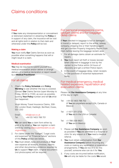# Claims conditions

#### **Fraud**

If **You** make any misrepresentation or concealment or dishonest statement in obtaining the **Policy** or in support of any claim, the insurance will be void and all rights both in relation to that claim and otherwise under this **Policy** will be lost.

#### **Making a claim**

**You** must notify **Our** Claims Service as soon as possible when something happens that will or might result in a claim.

#### **Medical examination**

**You** may be required to submit yourself to a medical examination and/or deliver or arrange delivery of a medical declaration or report issued by a **Medical Practitioner**.

## For all claims

1. Check the **Policy Schedule** and **Policy Wording** to see whether the loss is covered. Contact **Our** Claims Service (open Monday to Friday, 09.00 to 17.00), as soon as possible, quoting **Your Policy** number and tell **Us** what has happened.

Virgin Money Travel Insurance Claims, 308- 314 London Road, Hadleigh, Benfleet, Essex, SS7 2DD

| Email: | info@csal.co.uk      |
|--------|----------------------|
| Tel:   | +44 (0) 1403 788 701 |

**We** can send **You** a claim form either by post or by email or **You** can register a claim online by visiting [www.submitaclaim.co.uk/](http://www.submitaclaim.co.uk/virginmoney) [virginmoney](http://www.submitaclaim.co.uk/virginmoney).

- 2. For claims under the "Gadget", "Legal costs and expenses" or "Financial failure" sections of this **Policy** please see below.
- 3. **You** must obtain, keep and produce at **Your** own expense all receipts, invoices, reports and other documentary evidence required by **Us** to support **Your** claim. Original documents (not photocopies) will be required.

#### For personal possessions claims, gadget claims and for baggage delay claims

If **Your** checked-in baggage is lost or damaged in transit or delayed, report to the airline, railway company, shipping line or their handling agent and get a written Property Irregularity Report from them before leaving the baggage reclaim area.

- 1. For all damage claims obtain an estimate for repairs.
- 2. **You** must report all theft or losses (except when checked-in baggage is lost by the carrier) to the Police within 24 hours of discovery and get a written Police report.
- 3. In the event of baggage delay, retain receipts for the purchase of essential replacement items.

#### For medical emergency, medical related expenses, repatriation and evacuation claims

Please call **Our Assistance Company** at any time of the day or night:

- Tel: +44 (0) 1403 788 702 (if **You** are anywhere except USA, Canada or Mexico)
- Tel: +1-877-311-3720 (if **You** are in the USA or Canada)
- Tel: +1-786-206-9921 (if **You** are in Mexico)
- 1. Please call **Our Assistance Company** as soon as possible if **You** are admitted to a hospital or clinic for any reason or if **You** need a medical referral.
- 2. **You** must obtain authorisation from **Our Assistance Company** before incurring any costs or making any repatriation or evacuation arrangements. If **You** are too ill to do this yourself, someone else can do it for **You**.
- 3. If any costs are incurred before notification, **We** will only be liable for the costs **We** would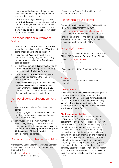have incurred had such a notification taken place, based on existing price agreements and provided the claim is valid.

4. If **You** are travelling in a country with which the **United Kingdom** has a reciprocal health agreement **You**, should use the Reciprocal Health Agreement to reduce **Your** medical claim. If **You** do so the **Excess** will not apply to **Your** medical claim.

# For cancellation or curtailment claims

- 1. Contact **Our** Claims Service as soon as **You** know that there is a possibility of **Your** trip not going ahead or having to be cut short.
- 2. If **You** booked **Your** trip through a tour operator or travel agency, **You** must notify them of **Your** cancellation or **Curtailment** as soon as possible.
- 3. Get authorisation from **Our** Claims Service or **Our Assistance Company** before incurring any expenses in **Curtailing Your** trip.
- 4. If **You** cancel **Your** trip for medical reasons, **Your** GP should complete the Medical Certificate on the claim form.
- 5. If **You Curtail Your** trip for medical reasons, the treating **Medical Practitioner** in the locality where the **Illness** or **Bodily Injury** occurred should complete the Preliminary Medical Certificate on the claim form.

# For travel delay and abandonment claims

1. **You** must obtain a letter from the airline, carrier, or handling agent confirming the reason for

the delay and detailing the scheduled and actual departure times.

2. **You** must apply in a timely manner in the event of flight delay, to the airline or their handling agent for the compensation **You** are entitled to under **EU Regulation No**. **261/2004 Air Passengers Rights**. If **You** fail to do so **Your** claim may be denied.

# For legal costs and expenses claims

Contact DAS Legal Expenses Insurance Company Limited. DAS House, Quay Side, Temple Back, Bristol, BS1 6NH.

Email: [newclaims@das.co.uk](mailto:newclaims%40das.co.uk?subject=) Tel: +44 (0) 117 934 0548

(Please see the "Legal Costs and Expenses" section for further details).

# For financial failure claims

Contact IPP Claims at Sedgwick, Oakleigh House, 14-15 Park Place, Cardiff CF10 3DQ

Email: [Insolvency-claims@ipplondon.co.uk](mailto:Insolvency-claims%40ipplondon.co.uk?subject=) Tel: +44 (0) 345 266 1872 (local rate call)

For Red and Silver policyholders, please quote reference SAFI V1.21. For Gold policyholders, please quote reference ESFI V1.21.

# For gadget claims

Contact Taurus Insurance Services Limited, Suite 2209-2217 Eurotowers, Europort Road, Gibraltar

Email: [virgin.tiga@taurus.gi](mailto:virgin.tiga%40taurus.gi?subject=) Tel: 0330 175 7850

(Please see the "Gadget" section for further details).

#### **No interest**

No interest shall be added to any claims payments.

## **Other insurance**

If **You** claim under this **Policy** for something which is also covered by another insurance policy, including credit card insurance, **You** must provide **Us** with full details of the other insurance policy. **We** will only pay **Our** proportionate share of any claim, apart from a valid personal accident claim, which **We** will pay in full.

#### **Rights and responsibilities**

**We** will be entitled to take over and conduct in **Your** name (at **Our** expense) the defence or settlement of any claim or to prosecute in **Your** name to **Our** own benefit in respect of any claim for indemnity or damage or otherwise, and will have full discretion in the conduct of any proceedings or in settlement of any claim and **You** will give all such information and reasonable assistance as **We** require. This will include legal action to get compensation from anyone else and/or legal action to get back from anyone else any payments that have already been made. **You** may not settle, reject or negotiate any claim without written permission to do so from **Us** (or DAS in respect of Legal costs and expenses claims).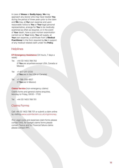In case of **Illness** or **Bodily Injury**, **We** may approach any doctor who may have treated **You** during the period of three years prior to the claim and **We** may, at **Our** own expense and upon reasonable notice to **You** or **Your** legal personal representative, arrange for **You** to be medically examined as often as required, or in the event of **Your** death, have a post mortem examination carried out on **Your** body. **You** will supply, at **Your** own expense, a certificate from a **Medical Practitioner** in the form required by **Us** in support of any medical-related claim under the **Policy**.

# **Helplines**

**ETI Emergency Assistance** (24 hours, 7 days a week)

- Tel: +44 (0) 1403 788 702 (if **You** are anywhere except USA, Canada or Mexico)
- Tel: +1-877-311-3720 (if **You** are in the USA or Canada)
- Tel: +1-786-206-9921 (if **You** are in Mexico)

**Claims Service** (non-emergency claims) Claims forms and general claims enquiries, Monday to Friday, 09:00 – 17:00

Tel: +44 (0) 1403 788 701

# Claims Forms

Call +44 (0) 1403 788 701 or submit a claim online by visiting [www.submitaclaim.co.uk/virginmoney.](http://www.submitaclaim.co.uk/virginmoney)

(For Legal costs and expenses claim forms please contact DAS, for Gadget claims forms please contact Taurus and for Financial failure claims please contact IPP).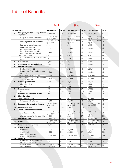# Table of Benefits

|                |                                                                  | Red                              |               | Silver                           |               | Gold                             |               |
|----------------|------------------------------------------------------------------|----------------------------------|---------------|----------------------------------|---------------|----------------------------------|---------------|
| Section Cover  |                                                                  | <b>Sums insured</b>              | <b>Excess</b> | <b>Sums insured</b>              | <b>Excess</b> | <b>Sums insured</b>              | <b>Excess</b> |
| 1              | <b>Emergency medical and repatriation</b><br>expenses            | £10,000,000                      | £100          | £12,500,000                      | £75           | £15,000,000                      | £50           |
|                | - Hospital confinement benefit                                   | £20 per 24 hours<br>up to £1,000 | Nil           | £25 per 24 hours<br>up to £2,000 | Nil           | £50 per 24 hours<br>up to £2,000 | Nil           |
|                | - Mugging hospitalisation benefit                                | £15 per 24 hours<br>up to £150   | Nil           | £25 per 24 hours<br>up to £250   | Nil           | £50 per 24 hours<br>up to £500   | Nil           |
|                | - Emergency dental treatment                                     | £250                             | Nil           | £400                             | Nil           | £500                             | Nil           |
|                | - Additional travel and<br>accommodation expenses                | £1,000                           | Nil           | £2,000                           | Nil           | £3.000                           | Nil           |
|                | - Funeral expenses abroad or<br>cremation expenses abroad        | £5,000                           | Nil           | £5,000                           | Nil           | £5,000                           | Nil           |
|                | - UK prescriptions                                               | £50                              | Nil           | £50                              | Nil           | £50                              | Nil           |
|                | - UK physiotherapy and chiropractic<br>care                      | £150                             | Nil           | £350                             | Nil           | £500                             | Nil           |
| $\overline{2}$ | <b>Cancellation</b>                                              | £3.000                           | £100          | £5,000                           | £75           | £7.500                           | £50           |
| 3              | <b>Curtailment and loss of holiday</b>                           | £3,000                           | £100          | £5,000                           | £75           | £7,500                           | £50           |
| 4              | <b>Personal accident</b>                                         |                                  |               |                                  |               |                                  |               |
|                | - Death: aged $18 - 65$                                          | £7,500                           | Nil           | £15,000                          | Nil           | £25,000                          | Nil           |
|                | - Death: aged 17 and under or aged<br>66 and over                | £2,500                           | Nil           | £2,500                           | Nil           | £2,500                           | Nil           |
|                | - Disablement: aged 18 - 65                                      | £10,000                          | Nil           | £20,000                          | Nil           | £50,000                          | Nil           |
|                | - Disablement: aged 17 and under or<br>aged 66 and over          | £2,500                           | Nil           | £2,500                           | Nil           | £2,500                           | Nil           |
| 5              | <b>Personal possessions</b>                                      | £1,250                           | £100          | £2,000                           | £75           | £3,000                           | £50           |
|                | - Single item limit                                              | £200                             | £100          | £300                             | £75           | £500                             | £50           |
|                | - Valuables                                                      | £200                             | £100          | £400                             | £75           | £600                             | £50           |
| 6              | Personal money                                                   | £500                             | £100          | £750                             | £75           | £1,000                           | £50           |
|                | - Cash                                                           | £200                             | £100          | £300                             | £75           | £500                             | £50           |
| $\overline{7}$ | Passport and other documents                                     | £200                             | Nil           | £300                             | <b>Nil</b>    | £500                             | Nil           |
| 8              | <b>Financial failure</b>                                         |                                  |               |                                  |               |                                  |               |
|                | - End supplier failure                                           | Nil                              | Nil           | Nil                              | Nil           | £2,500                           | Nil           |
|                | - Scheduled airline failure                                      | £2,500                           | Nil           | £2,500<br>£100 per 12 hours      | Nil           | £2,500                           | Nil           |
| 9              | Baggage delay on outward journey                                 | £50 per 12 hours<br>up to £200   | Nil           | up to £500                       | Nil           | £150 per 12 hours<br>up to £750  | Nil           |
| 10             | <b>Missed departure</b>                                          | £500                             | £100          | £1,000                           | £75           | £1,500                           | £50           |
| 11             | Travel delay and abandonment<br>- Travel delay benefit           | £25 per 12 hours                 | Nil           | £40 per 12 hours                 | Nil           | £50 per 12 hours                 | Nil           |
|                |                                                                  | up to £200                       |               | up to £400                       |               | up to £500                       |               |
|                | - Abandonment after 12 hours delay                               | £3,000<br>£2,000,000             | £100          | £5,000<br>£2,000,000             | £75<br>£75    | £7,500<br>£2,000,000             | £50<br>£50    |
| 12<br>13       | <b>Personal liability</b><br><b>Hijack</b>                       | £100 per 24 hours                | £100<br>Nil   | £150 per 24 hours                | Nil           | £200 per 24 hours                | Nil           |
| 14             | <b>Legal costs and expenses</b>                                  | up to £1,000<br>£25,000          | Nil           | up to £1,500<br>£25,000          | Nil           | up to £2,000<br>£25,000          | Nil           |
| 15             | COVID-19 cover                                                   |                                  |               |                                  |               |                                  |               |
|                | - Cancellation                                                   | £3,000                           | £100          | £5,000                           | £75           | £7,500                           | £50           |
|                | - Curtailment                                                    | £3,000                           | £100          | £5,000                           | £75           | £7,500                           | £50           |
|                | - Emergency medical and<br>repatriation expenses                 | £10,000,000                      | £100          | £12,500,000                      | £75           | £15,000,000                      | £50           |
| 16             | Pet care                                                         |                                  |               |                                  |               |                                  |               |
|                | A. Cancellation or abandonment -<br>lost kennel and cattery fees | £250                             | Nil           | £250                             | Nil.          | £250                             | Nil           |
|                | B. Delayed return - additional kennel<br>and cattery fees        | £25 per 24 hours<br>up to £250   | Nil           | £50 per 24 hours<br>up to £500   | Nil           | £75 per 24 hours<br>up to £750   | Nil           |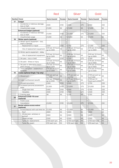|               |                                                       | Red                            |               | Silver                         |               | Gold                            |               |
|---------------|-------------------------------------------------------|--------------------------------|---------------|--------------------------------|---------------|---------------------------------|---------------|
| Section Cover |                                                       | <b>Sums insured</b>            | <b>Excess</b> | <b>Sums insured</b>            | <b>Excess</b> | <b>Sums insured</b>             | <b>Excess</b> |
| 17            | Gadget                                                |                                |               |                                |               |                                 |               |
|               | - Accidental or malicious damage,<br>loss or theft    | £500                           | £100          | £500                           | £75           | £750                            | £50           |
|               | - Unauthorised usage                                  | £1,000                         | Nil           | £1,000                         | Nil           | £1,000                          | Nil           |
|               | <b>Enhanced Gadget (optional)</b>                     |                                |               |                                |               |                                 |               |
|               | - Accidental or malicious damage,<br>loss or theft    | £1,000                         | £100          | £2,000                         | £75           | £3,000                          | £50           |
|               | - Unauthorised usage                                  | £1,000                         | Nil           | £1,000                         | Nil           | £1,000                          | Nil           |
| 18            | Winter sports (optional)                              |                                |               |                                |               |                                 |               |
|               | A. Winter sports equipment - loss,<br>theft or damage |                                |               |                                |               |                                 |               |
|               | - Replacement or repair                               | £500                           | £100          | £750                           | £75           | £1,000                          | £50           |
|               | - Hire of replacement equipment                       | £20 per 24 hours<br>up to £300 | Nil           | £30 per 24 hours<br>up to £450 | Nil           | £40 per 24 hours<br>up to £600  | Nil           |
|               | B. Winter sports equipment - delay                    |                                |               |                                |               |                                 |               |
|               | - Hire of replacement equipment                       | £20 per 24 hours<br>up to £300 | Nil           | £30 per 24 hours<br>up to £450 | Nil           | £40 per 24 hours<br>up to £600  | Nil           |
|               | C. Ski pass - loss or theft                           | £200                           | £100          | £250                           | £75           | £300                            | £50           |
|               | D. Ski pack - illness or injury                       | £20 per 24 hours<br>up to £300 | Nil           | £30 per 24 hours<br>up to £450 | Nil           | £40 per 24 hours<br>up to £600  | Nil           |
|               | E. Ski pack or alternative resort -<br>piste closure  | £20 per 24 hours<br>up to £300 | Nil           | £30 per 24 hours<br>up to £450 | Nil           | £40 per 24 hours<br>up to £600  | Nil           |
|               | F. Travel disruption - avalanche or<br>landslide      | £15 per 24 hours<br>up to £300 | Nil           | £20 per 24 hours<br>up to £400 | Nil           | £25 per 24 hours<br>up to £500  | Nil           |
| 19            | <b>Cruise (optional Single-Trip only)</b>             |                                |               |                                |               |                                 |               |
|               | A. Missed port                                        | £50 per port up<br>to £500     | Nil           | £75 per port up<br>to £750     | Nil           | £100 per port up<br>to £1,000   | Nil           |
|               | B. Cabin confinement benefit                          | £50 per 24 hours<br>up to £250 | Nil           | £75 per 24 hours<br>up to £375 | Nil           | £100 per 24<br>hours up to £500 | Nil           |
|               | C. Unused excursions                                  | £300                           | £100          | £500                           | £75           | £750                            | £50           |
|               | D. Increased personal possessions<br>limits           | £2,500                         | £100          | £3,000                         | £75           | £3,500                          | £50           |
|               | - Single item limit                                   | £400                           | £100          | £500                           | £75           | £750                            | £50           |
|               | - Valuables                                           | £500                           | £100          | £500                           | £75           | £500                            | £50           |
|               | E. Evening wear                                       | Nil                            | Nil           | £100                           | Nil           | £150                            | Nil           |
| 20            | <b>Enhanced COVID-19 cover</b><br>(optional)          |                                |               |                                |               |                                 |               |
|               | - FCDO cover                                          |                                |               |                                |               |                                 |               |
|               | - Cancellation                                        | £3,000                         | £100          | £5,000                         | £75           | £7,500                          | £50           |
| 21            | Rental vehicle excess waiver                          |                                |               |                                |               |                                 |               |
|               | (optional)                                            |                                |               |                                |               |                                 |               |
|               | - Excess/deposit with sub limits for:                 | £2,000                         | Nil           | £2,000                         | Nil           | £2,000                          | Nil           |
|               | - Roof<br>- Windscreen, windows or                    | £600                           | Nil           | £600                           | Nil           | £600                            | Nil           |
|               | sunroof                                               | £800                           | Nil           | £800                           | Nil           | £800                            | Nil           |
|               | - Undercarriage                                       | £500                           | Nil           | £500                           | Nil           | £500                            | Nil           |
|               | - Tyres (for replacement)                             | £100 each tyre                 | Nil           | £100 each tyre                 | Nil           | £100 each tyre                  | Nil           |
|               | - Tyres (for repair)                                  | £50 each tyre                  | Nil           | £50 each tyre                  | Nil           | £50 each tyre                   | Nil           |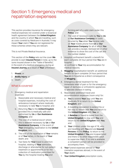# Section 1: Emergency medical and repatriation expenses

This section provides insurance for emergency medical expenses not covered under a reciprocal health agreement between the **United Kingdom** and the country in which **You** are travelling, such as costs covered by Medicare in Australia. It may impact **Your** claim if **You** are not registered for these schemes where they are relevant.

This is not Private Medical Insurance.

This section of the **Policy** sets out the cover **We** provide to each **Insured Person** in total, up to the sums insured shown in the "Table of Benefits", in the event of a medical emergency during an **Insured Journey** as a result of **Your** unforeseen:

- 1. **Illness**; or
- 2. **Bodily Injury**; or
- 3. Death.

# What is covered

- 1. Emergency medical and repatriation expenses:
	- a. Reasonable and necessary medical and hospital expenses, including the cost of ambulance transport where medically necessary to take **You** to hospital; and
	- b. Returning **You** to the **United Kingdom** provided this is medically safe and authorised by **Us** or **Our Assistance Company**; and
	- c. The cost of a medical escort where this is deemed necessary by **Us** or **Our Assistance Company**, in the event of **Your** emergency repatriation to the **United Kingdom**; and
	- d. The cost of the repatriation of **Your** remains or of **Your** ashes, in the event of **Your** death; and
	- e. Taxi fares for **Your** travel to and from hospital, relating to **Your** admission, discharge or attendance for out-patient treatment or appointments or for the collection of medication prescribed for **You** by the hospital treating **You** and

forming part of a valid claim under this **Policy**; and

- f. The cost of necessary calls by **You** to **Us** or **Our Assistance Company** or costs incurred by **You** when **You** receive calls on **Your** mobile phone from **Us** or **Our Assistance Company** for all of which **You** can provide a receipt, itemised bill or other evidence to show the cost of the call and the number dialled.
- 2. Hospital confinement benefit: a benefit for each complete 24 hour period that **You** are in hospital

or confined to **Your** trip accommodation for medical reasons.

- 3. **Mugging** hospitalisation benefit: an additional benefit for each complete 24 hour period that **You** are in hospital as a direct consequence of **Mugging**.
- 4. Emergency dental treatment for the immediate relief of pain or for the emergency repair of dentures or orthodontic appliances to alleviate distress in eating.
- 5. Reasonable additional travel and accommodation expenses (room only) for:
	- a. **You** to extend **Your** stay until **You** are medically fit to return to the **United Kingdom**; and
	- b. A travelling companion to extend his or her stay to remain with **You** and return to the **United Kingdom** with **You**; or
	- c. A **Relative** or friend to travel from the **United Kingdom** to stay with **You** and return to the **United Kingdom** with **You**; and
	- d. **Your** children under the age of 18, who are travelling with **You** and are **Insured Persons** on this **Policy**, to return to the **United Kingdom** if **You** are incapacitated and there is no other responsible adult to supervise them. If no one is available a competent person will be provided to accompany them.
- 6. **Your** funeral expenses abroad or **Your** cremation expenses abroad, in the event of **Your** death.
- 7. **Your United Kingdom** prescription costs,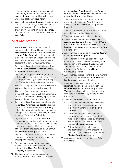solely in relation to **Your** continuing medical condition(s) the onset of which during an **Insured Journey** resulted in a valid claim under this section of **Your Policy**.

8. **Your** costs for **United Kingdom** Physiotherapy and Chiropractic Care, solely in relation to **Your** continuing medical condition(s) the onset of which during an **Insured Journey** resulted in a valid claim under this section of **Your Policy**.

# What is not covered

- 1. The **Excess** as shown in the "Table of Benefits", unless the additional premium for **Excess Waiver** has been paid and is shown on **Your Policy Schedule** or if the medical expense costs have been reduced by using Medicare in Australia, a reciprocal health agreement or private health insurance.
- 2. Any claim arising directly or indirectly from a **Pre-existing Medical Condition** unless accepted by **Us** in writing.
- 3. Any costs arising from **Your** pregnancy or childbirth if the expected date of delivery is less than 12 weeks (16 weeks for a multiple birth) after the scheduled end of the trip.
- 4. The cost of any medication which **You** knew **You** would need at the start of **Your** trip.
- 5. The cost of any treatment, surgery, investigations or tests which are not directly related to the **Illness** or **Bodily Injury** for which **You** went into a hospital or clinic abroad.
- 6. Any claim arising from **Your** participation in **Hazardous Activities and Sports** excluded or not listed as covered under this **Policy** unless the appropriate additional premium has been paid and the specific activity or sport is shown on **Your Policy Schedule**.
- 7. Any additional costs as a result of **You** arranging or accepting single or private room accommodation at a hospital, clinic or nursing home, except where this is necessary for **Your** treatment and approved by **Us** or **Our Assistance Company** in advance.
- 8. Any provision of dentures, prosthetic limbs, hearing aids, contact or corneal lenses or prescription spectacles.
- 9. Any medical or repatriation expenses in excess of £500 which have not been authorised by **Us** or **Our Assistance Company** in advance.
- 10. The cost of any treatment, surgery, investigations or tests which, in the opinion

of the **Medical Practitioner** treating **You** or of **Our Assistance Company** can reasonably be delayed until **You** return **Home**.

- 11. Any taxi fares other than those set out as covered in this section. **We** will not pay taxi fares for **You** to visit another person in hospital.
- 12. The cost of any phone calls other than those set out as covered in this section.
- 13. The cost of any food, drinks or toiletries.
- 14. Any expenses that arise after **We** or **Our Assistance Company** have instructed **You** to return **Home** if **Our** medical advisers and the **Medical Practitioner** treating **You** decide **You** are fit to travel.
- 15. Any expenses incurred on an **Insured Journey** within the **United Kingdom**.
- 16. Any expenses incurred (except as set out in "What is covered" 7 and 8) following **Your** repatriation to the **United Kingdom**, once **You** are admitted to hospital or another rehabilitation facility or return **Home**, whichever is sooner.
- 17. Any expenses that arise more than 12 months after the first occurrence of **Your Illness** or **Bodily Injury** resulting in the claim.
- 18. Any costs which are covered under a reciprocal health agreement between the **United Kingdom** and the country in which **You** are travelling such as costs covered by Medicare in Australia or by private medical insurance.
- 19. Any costs as a result of **Your** failure to:
	- a. Obtain any recommended vaccinations, inoculations or preventative medications in a timely manner before an **Insured Journey**; or
	- b. Follow the medical advice, accept the treatment or take the prescribed medication recommended by a General Practitioner or Consultant, prior to or during an **Insured Journey**; or
	- c. Follow the medical advice, accept the treatment or take the prescribed medication recommended by a treating **Medical Practitioner** abroad.
- 20. Anything mentioned in the "General Policy Exclusions".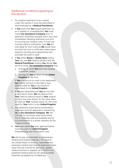# Additional conditions applying to this section

- 1. For medical treatment to be covered under this section it must be prescribed or recommended by a **Medical Practitioner** .
- 2. If **You** know that **You** require admission as an in-patient in a hospital/clinic **You** must notify **Our Assistance Company** prior to admission whenever possible and in any case immediately following admission and prior to incurring any medical costs. If costs are incurred without notification, then **We** are only liable for such costs as **We** would have incurred had such a notification taken place based on existing price agreements and provided the claim is valid.
- 3. If **You** suffer **Illness** or **Bodily Injury** during **Your** trip, and **Our** medical advisers and the **Medical Practitioner** treating **You** decide **You** are fit to travel, **Our Assistance Company** may:
	- a. Arrange to move **You** from one hospital to another; and/or
	- b. Arrange for **You** to return to the **United Kingdom** at any time.

If **You** choose not to move or be repatriated, **Our** liability will end on the date it was deemed safe for **You** to be moved or repatriated to the **United Kingdom** .

- 4. If **You** are repatriated and **You** do not hold a valid return ticket, **We** will deduct from **Your** claim an amount equal to **Your** original carrier's one-way airfare, for the same class of ticket as **Your** outward travel, for the route used for **Your** return to the **United Kingdom**.
- 5. Any additional travel and accommodation expenses must be approved in advance by **Us** or **Our Assistance Company**. **We** will only pay for economy class travel where this is medically safe and available and for accommodation to a similar standard as the original booking.
- 6. **You** must obtain **Our** prior approval before incurring costs for **United Kingdom** Physiotherapy and Chiropractic Care.

**We** will not pay unreasonable or unnecessary medical and hospital expenses. For travel to the United States of America, reasonable and necessary medical and hospital expenses means costs that are incurred for approved, eligible medical services or supplies up to 150% of the published medical rates for the same or similar treatment as payable by US Medicare.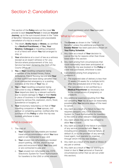# Section 2: Cancellation

This section of the **Policy** sets out the cover **We** provide to each **Insured Person** in total per **Insured Journey**, up to the sum insured shown in the "Table of Benefits", following necessary and unavoidable cancellation of a trip as a result of:

- 1. The death, **Bodily Injury** or **Illness**, as certified by a **Medical Practitioner,** of **You, Your Relative**, **Colleague** or travelling companion or of a friend with whom **You** had arranged to stay; or
- 2. **Your** attendance at a court of law as a witness (except as an expert witness) or for Jury Service where postponement of the Jury Service has been denied by the Clerk of the Courts Office; or
- 3. **You** or **Your** travelling companion being a member of the Armed Forces, Police, Ambulance, Fire or Nursing Service and **Your** or their authorised leave being cancelled due to an unexpected emergency or a posting overseas at the time of **Your** trip; or
- 4. **You** or **Your** travelling companion being instructed to stay at **Home** (within 7 days of Your departure date) by a relevant authority due to severe damage to **Your** or their **Home** or place of business in the **United Kingdom**  caused by serious fire, explosion, storm, flood, subsidence or burglary; or
- 5. **Your** involuntary redundancy or that of **Your** travelling companion or **Your** spouse, civil partner or cohabiting partner, notified after the purchase of this **Policy** or after the trip was booked, whichever is later.

# What is covered

- 1. The cost of:
	- a. **Your** unused non-refundable pre-booked travel and accommodation which **You** have paid or are contracted to pay; and
	- b. **Your** unused non-refundable pre-booked airport parking, car hire, airport lounge pass and excursions which **You** have paid or are contracted to pay; and
	- c. **Your** unused non-refundable visa, ESTA (Electronic System for Travel Authorisation for travellers to the USA) or other relevant

travel permission which **You** have paid.

# What is not covered

- 1. The **Excess** as shown in the "Table of Benefits", unless the additional premium for **Excess Waiver** has been paid and is shown on **Your Policy Schedule**.
- 2. Any claim as a result of **Your** decision to cancel the trip for reasons other than those listed within this section.
- 3. Any claim arising from circumstances that could reasonably have been anticipated at the time the trip was booked or the **Policy** or cover was purchased, whichever is later.
- 4. Cancellation arising from pregnancy or childbirth if:
	- a. The expected date of delivery is less than 12 weeks (16 weeks for a multiple birth) after the scheduled end of the trip; or
	- b. The cancellation is not certified by a **Medical Practitioner** as necessary due to the complications of pregnancy or childbirth.
- 5. Any additional expenses resulting from **You** not cancelling **Your** trip as soon as reasonably possible after **You** become aware of the need to cancel.
- 6. Any claim as a result of a failure to have the required passport, visa, ESTA (Electronic System for Travel Authorisation for travellers to the USA) or other relevant travel permission.
- 7. Any claim where the carrier has refused to allow **You** to travel.
- 8. Any claim as a result of the failure in provision of any service connected with **Your** trip including error, omission, financial failure, or default of, or by the provider of any service, travel agent, tour operator or organiser through whom the trip was booked.
- 9. Any claim as a result of the death or illness of any pet or animal.
- 10. Any claim as a result of **You** not wanting to travel or due to **Your** personal or financial circumstances (other than as set out under this section).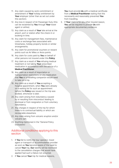- 11. Any claim caused by work commitment or amendment of **Your** holiday entitlement by Your employer (other than as set out under this section).
- 12. Any loss in respect of Air Passenger Duty (this can be reclaimed by **You** through **Your** travel agent or airline).
- 13. Any claim as a result of **Your** late arrival at the airport, port or station after the check-in or booking-in time.
- 14. Any claim for management fees, maintenance costs or exchange fees associated with timeshares, holiday property bonds or similar arrangements.
- 15. Any claim for promotional vouchers or reward points such as Air Miles or Avios points.
- 16. Any claim for costs paid by **You** on behalf of other persons not insured under this **Policy**.
- 17. Any claim as a result of **You** refusing medical treatment or not taking **Your** prescribed medication in accordance with the advice of a **Medical Practitioner**.
- 18. Any claim as a result of importation or transportation restrictions on any medication that **You** or a travelling companion would need to take on a trip.
- 19. Any claim as a result of **You** accepting a hospital appointment, when **You** were already on a waiting list for such an appointment before the **Policy** was issued or the trip was booked, whichever is later.
- 20. Any claim arising from redundancy caused by or resulting from misconduct leading to dismissal or from resignation or from voluntary redundancy.
- 21. Any charges in respect of the trip for which there is no contractual liability or which are recoverable elsewhere.
- 22. Any claim arising from volcanic eruption and/or volcanic ash.
- 23. Anything mentioned in the "General Policy Exclusions".

# Additional conditions applying to this section

- 1. If **You** fail to notify the tour operator, travel agent or transport or accommodation provider as soon as **You** become aware of the need to cancel **Your** trip, **Our** liability will be restricted to the cancellation charges that would have applied had such a failure not occurred.
- 2. If **You** cancel **Your** trip for medical reasons,

**You** must provide **Us** with a medical certificate from a **Medical Practitioner** stating that this necessarily and reasonably prevented **You** from travelling.

3. If **Your** claim is for any other insured reason, **You** will be required to provide **Us** with appropriate documentary evidence.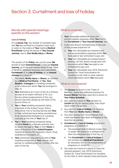# Section 3: Curtailment and loss of holiday

## Words with special meanings specific to this section

#### **Loss of Holiday**

On a **Leisure Trip**, the number of complete days that **You** are confined to a hospital, hotel room or cabin on the orders of **Your** treating **Medical Practitioner** during the period of **Your Insured Journey**, due to **Your Bodily Injury** or **Illness**.

This section of the **Policy** sets out the cover **We**  provide to each **Insured Person** in total per **Insured Journey**, up to the sum insured shown in the "Table of Benefits", following necessary and unavoidable **Curtailment** of, or **Loss of Holiday** on, an **Insured Journey** as a result of:

- 1. The death, **Bodily Injury** or **Illness**, as certified by a **Medical Practitioner**, of **You**, **Your Relative**, **Colleague** or travelling companion or of a friend with whom **You** had arranged to stay; or
- 2. **Your** attendance at a court of law as a witness (except as an expert witness) or for Jury Service where postponement of the Jury Service has been denied by the Clerk of the Courts Office; or
- 3. **You** or **Your** travelling companion being a member of the Armed Forces, Police, Ambulance, Fire or Nursing Service and **Your** or their authorised leave being cancelled due to an unexpected emergency or a posting overseas at the time of **Your** trip; or
- 4. **You** or **Your** travelling companion being recalled **Home** by a relevant authority due to severe damage to **Your** or their **Home** or place of business in the **United Kingdom** caused by serious fire, explosion, storm, flood, subsidence or burglary; or
- 5. **Your** involuntary redundancy or that of **Your** travelling companion or **Your** spouse, civil partner or cohabiting partner, notified after the start of the trip.

## What is covered

- 1. **Your** reasonable additional travel and accommodation expenses which **You** incur in the **Curtailment** of **Your Insured Journey**; and
- 2. A pro-rata amount corresponding to the cost of the unused proportion of:
	- a. **Your** non-refundable pre-booked travel and accommodation expenses which **You**  have paid or are contracted to pay; and
	- b. **Your** non-refundable pre-booked airport parking, car hire, airport lounge pass and excursions which **You** have paid or are contracted to pay; and
	- c. **Your** non-refundable visa, ESTA (Electronic System for Travel Authorisation for travellers to the USA) or other relevant travel permission which **You** have paid.

## What is not covered

- 1. The **Excess** as shown in the "Table of Benefits", unless the additional premium for **Excess Waiver** has been paid and is shown on **Your Policy Schedule**.
- 2. Any claim as a result of **Your** decision to **Curtail** the trip for reasons other than those listed within this section.
- 3. Any claim for **Loss of Holiday** not resulting from **Your** own **Bodily Injury** or **Illness**.
- 4. Any claim arising from circumstances that could reasonably have been anticipated at the time the trip started.
- 5. **Curtailment** or **Loss of Holiday** arising from pregnancy or childbirth if:
	- a. The expected date of delivery is less than 12 weeks (16 weeks for a multiple birth) after the scheduled end of the trip; or
	- b. The **Curtailment** or **Loss of Holiday** is not certified by a **Medical Practitioner** as necessary due to the complications of pregnancy or childbirth.
- 6. Any claim as a result of a failure to have the required passport, visa, ESTA (Electronic System for Travel Authorisation for travellers to the USA) or other relevant travel permission.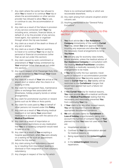- 7. Any claim where the carrier has refused to allow **You** to travel or to continue **Your** trip or where the accommodation or other service provider has refused to allow **You** to use, or continue to use, the accommodation or service.
- 8. Any claim as a result of the failure in provision of any service connected with **Your** trip including error, omission, financial failure, or default of, or by the provider of any service, travel agent, tour operator or organiser through whom the trip was booked.
- 9. Any claim as a result of the death or illness of any pet or animal.
- 10. Any claim as a result of **You** not wanting to travel or to continue **Your** trip or due to personal or financial circumstances (other than as set out under this section).
- 11. Any claim caused by work commitment or amendment of **Your** holiday entitlement by **Your** employer (other than as set out under this section).
- 12. Any loss in respect of Air Passenger Duty (this can be reclaimed by **You** through **Your** travel agent or airline).
- 13. Any claim as a result of **Your** late arrival at the airport, port or station after the check-in or booking-in time.
- 14. Any claim for management fees, maintenance costs or exchange fees associated with timeshares, holiday property bonds or similar arrangements.
- 15. Any claim for promotional vouchers or reward points such as Air Miles or Avios points.
- 16. Any claim for costs paid by **You** on behalf of other persons not insured under this **Policy**.
- 17. Any claim as a result of **You** refusing medical treatment or not taking **Your** prescribed medication in accordance with the advice of a **Medical Practitioner**.
- 18. Any claim as a result of importation or transportation restrictions on any medication that **You** or a travelling companion would need to take on a trip.
- 19. Any claim as a result of **You** accepting a hospital appointment, when **You** were already on a waiting list for such an appointment before the trip started.
- 20. Any claim arising from redundancy caused by or resulting from misconduct leading to dismissal or from resignation or from voluntary redundancy.
- 21. Any charges in respect of the trip for which

there is no contractual liability or which are recoverable elsewhere.

- 22. Any claim arising from volcanic eruption and/or volcanic ash.
- 23. Anything mentioned in the "General Policy Exclusions" .

# Additional conditions applying to this section

- 1. **You** must advise **Us** or **Our Assistance Company** immediately of the need to **Curtail Your** trip, obtain **Our** prior approval before incurring any expenses and allow **Us** to make the necessary travel arrangements to bring **You Home**.
- 2. **We** will only pay for economy class tickets, where available, unless the medical advisor of **Our Assistance Company** in consultation with the treating **Medical Practitioner** considers that there is a medically necessity for other arrangements to be made.
- 3. If **You** fail to notify the tour operator, travel agent or transport or accommodation provider immediately when **You** become aware of the need to **Curtail Your** trip, **Our** liability will be restricted to the **Curtailment** charges that would have applied had such a failure not occurred.
- 4. If **You Curtail Your** trip for medical reasons, **You** must provide **Us** with a medical certificate from a **Medical Practitioner** stating that this necessarily and reasonably prevented **You** from continuing **Your** trip.
- 5. If **Your** claim is for any other insured reason, **You** will be required to provide **Us** with appropriate documentary evidence.
- 6. **We** will calculate claims for **Curtailment** or **Loss of Holiday** proportionately, taking into account the number of complete days of **Your**  planned trip that **You** have not used while **You** are:
	- a. Hospitalised abroad; or
	- b. Confined to **Your** accommodation abroad for medical reasons; or
	- c. Being repatriated to the **United Kingdom**; or
	- d. In the **United Kingdom** following repatriation.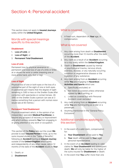# Section 4: Personal accident

This section does not apply to **Insured Journeys** solely within the **United Kingdom**.

# Words with special meanings specific to this section

#### **Disablement**

- 1. **Loss of Limb**; or
- 2. **Loss of Sight**; or
- 3. **Permanent Total Disablement**.

#### **Loss of Limb**

Permanent loss by physical severance or permanent and total loss of use of a limb or limbs at or above the wrist or ankle (meaning one or more entire hand, arm, foot or leg).

#### **Loss of Sight**

Physical loss of one or both eyes or the loss of a substantial part of the sight of one or both eyes. A substantial part means that the degree of sight remaining is 3/60 or less on the Snellen Scale after correction with spectacles or contact lenses. (At 3/60 on the Snellen Scale a person can see at 3 metres something that a person with normal vision would see at 60 metres.)

#### **Permanent Total Disablement**

Physical impairment which, in the opinion of an independent specialist **Medical Practitioner,** is beyond any prospect of recovery or improvement and which entirely prevents **You** from engaging in or giving attention to any work or occupation.

This section of the **Policy** sets out the cover **We** provide to each **Insured Person** in total, up to the sums insured shown in the "Table of Benefits", following an **Accident** during an **Insured Journey** outside of the **United Kingdom** which solely and independently of any other cause, within 12 months of the date of the **Accident** results in **Your**:

- 1. Death; or
- 2. **Disablement**

#### What is covered

1. A fixed sum, dependent on **Your** age, in compensation.

# What is not covered

- 1. Any claim arising from death or **Disablement** occurring more than 12 months after the date of the **Accident**.
- 2. Any claim as a result of an **Accident** occurring on a trip solely within the **United Kingdom**.
- 3. Death or **Disablement** caused by mental or psychological trauma, nervous shock, sickness, disease, or any naturally occurring condition or degenerative disease or the ingestion of any substance.
- 4. Any claim arising from an **Accident** occurring while **You** are engaging in **Hazardous Activities and Sports** which are:
	- a. Specifically excluded; or
	- b. Not listed as covered unless otherwise agreed by **Us** in writing; or
	- c. Listed as covered but with Personal Accident cover excluded.
- 5. Any claim arising from an **Accident** occurring while **You** are motorcycling as a rider or a passenger.
- 6. Anything mentioned in the "General Policy Exclusions".

# Additional conditions applying to this section

- 1. In the event of a valid claim, compensation for:
	- a. **Your Disablement** will be paid to **You**.
	- b. **Your** death will be paid to **Your** legal personal representative.
- 2. In the event of an **Accident** leading to valid claims for **Your Disablement** and subsequent death, **We** will only be liable for the higher of the sums insured for **Disablement** or death.
- 3. In the event that **You** suffer more than one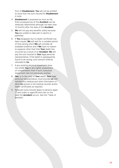form of **Disablement**, **You** will not be entitled to more than the sum insured for **Disablement** in total.

- 4. **Disablement** is assessed as soon as the final consequences of the **Accident** can be medically determined although not later than 12 months after the date of the **Accident**.
- 5. **We** will not pay any benefits solely because **You** are unable to take part in sports or pastimes.
- 6. If **You** disappear but no death certificate has been issued, **We** will wait for a suitable period of time during which **We** will consider all available evidence and if **We** have no reason to suppose other than that **Your** death has occurred as a result of an **Accident**, **We** will pay the sum insured to **Your** legal personal representative. If the belief is subsequently found to be wrong, such amount shall be refunded to **Us**.
- 7. A pre-existing physical impairment does not entitle **You** to any higher assessment of compensation than if such a physical impairment had not previously existed.
- 8. **You**, or in the case of **Your** death, **Your** legal personal representative, must provide **Us** with satisfactory medical and other information or allow **Us** access to full medical records and/or death certificates as required.
- 9. Reduced sums insured apply to persons aged 17 and under or aged 66 and over on the date the **Accident** occurs. See the "Table of Benefits".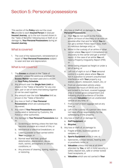# Section 5: Personal possessions

This section of the **Policy** sets out the cover **We** provide to each **Insured Person** in total per **Insured Journey**, up to the sum insured shown in the "Table of Benefits", following loss or theft of, or damage to, **Your Personal Possessions** during an **Insured Journey**.

## What is covered

1. The cost of the replacement, reinstatement or repair of **Your Personal Possessions** subject to wear and tear and depreciation.

## What is not covered

- 1. The **Excess** as shown in the "Table of Benefits", unless the additional premium for **Excess Waiver** has been paid and is shown on **Your Policy Schedule**.
- 2. Any amount over the **Single Item Limit** as shown in the "Table of Benefits" for any one item, pair or set of items that belong together or can be used together.
- 3. Any amount over the total **Valuables** limit as shown in the "Table of Benefits".
- 4. Any loss or theft of **Your Personal Possessions** which are subsequently recovered.
- 5. Any claim if **Your Personal Possessions** are confiscated or detained by Customs, the Police or other authorities.
- 6. Any damage to **Your Personal Possessions** due to:
	- a. Scratching or denting unless the item has become unusable as a result of this; or
	- b. Mechanical or electrical breakdown; or
	- c. Leaking powder or fluid carried within **Your** baggage; or
	- d. Normal wear and tear, gradual deterioration, depreciation, decay, moth, vermin, atmospheric or climatic conditions; or
	- e. Any process of cleaning, dyeing, repairing or restoring.
- 7. Any loss or theft of, or damage to, **Your Personal Possessions**:
	- a. That **You** do not report to the Police within 24 hours of discovery or as soon as possible after that and for which **You** do not get a written Police report (loss, theft or malicious damage only); or
	- b. Whilst in the custody of an airline or other carrier unless **You** report it immediately on discovery to the carrier and get a written report. In the case of an airline **You** will need a Property Irregularity Report (PIR); or
	- c. Whilst being shipped as freight or under a bill of lading; or
	- d. Left out of sight or out of **Your** personal control in a public place where **You** are not in a position to prevent unauthorised interference with **Your** property e.g. station, airport, restaurant, beach, etc; or
	- e. From an unattended vehicle unless between the hours of 09:00 and 21:00 and locked in the boot, covered luggage area or locked glove compartment and following physical evidence of forcible entry and **Valuables** from an unattended vehicle at any time; or
	- f. From a roof or boot luggage rack at any time; or
	- g. Left in the custody of a person who does not have official responsibility for the safekeeping of the property.
- 8. Any loss or theft of, or damage to:
	- a. **Golf Equipment;** or
	- b. **Bicycles**.
- 9. Any loss or theft of, or damage to:
	- a. Fragile articles, business goods or samples; or
	- b. **Sports Equipment** whilst in use; or
	- c. Spectacles, contact lenses, hearing aids or prosthetic limbs; or
	- d. **Valuables** unless they are at all times attended by **You**, or left in hotel security, a safety deposit box, safe or similar locked fixed receptacle; or
	- e. **Valuables** which are not carried in **Your**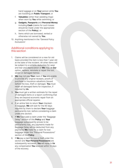hand luggage or on **Your** person while **You** are travelling on **Public Transport**; or

- f. **Valuables** (other than wedding rings) when worn by **You** while swimming; or
- g. **Gadgets**, **Passports** and **Personal Money**  including **Cash** (claims for such losses should be made under the appropriate section of the **Policy**); or
- h. Items which are borrowed, rented or otherwise not owned by **You** .
- 10. Anything mentioned in the "General Policy Exclusions".

# Additional conditions applying to this section

- 1. Claims will be considered on a new for old basis provided the item is less than 1 year old at the date of the incident. All other items will be subject to a suitable deduction for wear and tear and depreciation or **We** may, at **Our** option, replace, reinstate or repair the lost, stolen or damaged item(s).
- 2. **We** may not pay **Your** claim if **You** are unable to provide any original receipts, proofs of purchase or insurance valuations (issued before the loss, theft or damage). **You** must retain all damaged items for inspection, if required by **Us** .
- 3. **You** must get a written estimate for the repair of damaged items or a report confirming that they are beyond economic repair from an appropriate official repairer.
- 4. If an airline fails to return **Your** checkedin baggage, **We** will wait for the 60 days required by them to declare **Your** baggage permanently lost, before considering a claim under this section.
- 5. If **We** have paid a claim under the "Baggage Delay" section of this **Policy** and **Your** baggage subsequently proves to be permanently lost, any payments made for Baggage Delay will be deducted from any payments **We** make for a claim for lost baggage under this "Personal Possessions" section of the **Policy**.
- 6. If **We** pay a claim for loss or theft under this section and **Your Personal Possessions** are subsequently recovered, **You** will repay to **Us** any compensation **You** received within 14 days of the recovery.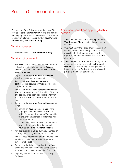# Section 6: Personal money

This section of the **Policy** sets out the cover **We** provide to each **Insured Person** in total per **Insured Journey**, up to the sum insured shown in the "Table of Benefits", following loss or theft of **Your Personal Money** during an **Insured Journey**.

# What is covered

1. Reimbursement of **Your Personal Money**.

# What is not covered

- 1. The **Excess** as shown in the "Table of Benefits", unless the additional premium for **Excess Waiver** has been paid and is shown on **Your Policy Schedule**.
- 2. Any loss or theft of **Your Personal Money** which is subsequently recovered.
- 3. Any claim if **Your Personal Money** is confiscated or detailed by Customs, the Police or other authorities.
- 4. Any loss or theft of **Your Personal Money** that You do not report to the Police within 24 hours of discovery or as soon as possible after that and for which **You** do not get a written Police report.
- 5. Any loss or theft of **Your Personal Money** that is not:
	- a. Carried on **Your** person or in **Your** hand luggage which **You** have with **You** and within **Your** control such that **You** are able to prevent unauthorised interference with it at all times; or
	- b. Deposited in a safe or fixed safety deposit box, or similar locked fixed receptacle in **Your** locked **Private Accommodation**.
- 6. Any depreciation in value, currency changes or shortage caused by any error or omission.
- 7. Any loss recoverable from another source such as a bank, credit card provider or issuer of travellers' cheques.
- 8. Any loss or theft due to fraud or due to **You** deliberately or inadvertently revealing security information such as a password or PIN-code.
- 9. Anything mentioned in the "General Policy Exclusions".

# Additional conditions applying to this section

- 1. **You** must take reasonable care in protecting **Your Personal Money** against loss or theft at all times.
- 2. **You** must notify the Police of any loss or theft within 24 hours of discovery or as soon as possible after that and obtained a written report from them and enclose this with **Your** claim form.
- 3. **You** must provide **Us** with documentary proof of ownership of any lost or stolen **Personal Money**, such as currency exchange receipts, bank statements, **Cash** withdrawal slips and pre-paid credit card statements.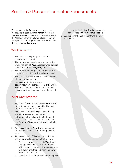# Section 7: Passport and other documents

This section of the **Policy** sets out the cover **We** provide to each **Insured Person** in total per **Insured Journey**, up to the sum insured shown in the "Table of Benefits", following loss or theft of **Your** passport, driving licence or travel documents during an **Insured Journey**

# What is covered

- 1. The cost of a temporary replacement passport abroad; and
- 2. The proportionate replacement cost of the unexpired part of **Your** passport when **You** are back in the **United Kingdom**; and
- 3. The proportionate replacement cost of the unexpired part of **Your** driving licence; and
- 4. The cost of the replacement or reinstatement of travel documents; and
- 5. Necessary additional travel and accommodation expenses (room only) which **You** incur abroad to obtain a replacement passport, driving licence or travel documents.

# What is not covered

- 1. Any claim if **Your** passport, driving licence or travel documents are retained by Customs, the Police or other authorities.
- 2. Any loss or theft of **Your** passport, driving licence or travel documents that **You** do not report to the Police within 24 hours of discovery or as soon as possible after that and for which **You** do not get a written Police report.
- 3. Any loss or theft of **Your** travel documents that can be replaced free of charge by the issuer.
- 4. Any loss or theft of **Your** passport, driving licence or travel documents that are not:
	- a. Carried on **Your** person or in **Your** hand luggage which **You** have with **You** and within **Your** control such that **You** are able to prevent unauthorised interference with them at all times; or
	- b. Deposited in a safe or fixed safety deposit

box, or similar locked fixed receptacle in **Your** locked **Private Accommodation**.

5. Anything mentioned in the "General Policy Exclusions".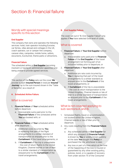# Section 8: Financial failure

## Words with special meanings specific to this section

#### **End Supplier**

The company that owns and operates the following services: hotel, train operator including Eurostar, car ferries, villas abroad and cottages in the UK, coach operator, car or camper hire company, caravan sites, campsites, mobile home, safaris, excursions, Eurotunnel, theme parks or attractions.

#### **Financial Failure**

The scheduled airline or **End Supplier** becoming insolvent or having an administrator appointed and being unable to provide agreed services.

This section of the **Policy** sets out the cover **We** provide to each **Insured Person** in total per **Insured Journey**, up to the sum insured shown in the "Table of Benefits", as a result of:

#### **A. Scheduled Airline Failure.**

## What is covered

- 1. **Financial Failure** of **Your** scheduled airline before departure:
	- a. Irrecoverable sums paid prior to the **Financial Failure** of the scheduled airline **You** are booked with; or
- 2. **Financial Failure** of **Your** scheduled airline after departure:
	- a. Additional costs incurred by **You** in replacing that part of the flight arrangements to a similar standard of transportation as enjoyed prior to the **Curtailment** of the travel arrangements; or
	- b. If **Curtailment** of the trip is unavoidable - the cost of return flights to the United Kingdom, Channel Islands or Isle of Man to a similar standard of transportation as enjoyed prior to the **Curtailment** of the travel arrangements.

#### **B. End Supplier Failure.**

The cover set out in "B. End Supplier Failure" only applies if **You** have selected Gold level of cover.

## What is covered

- 1. **Financial Failure** of **Your End Supplier** before departure:
	- a. Irrecoverable sums paid prior to **Financial Failure** of the **End Supplier** of the travel arrangement not forming part of an inclusive holiday prior to departure; or
- 2. **Financial Failure** of **Your End Supplier** after departure:
	- a. Additional pro rata costs incurred by You in replacing that part of the travel arrangements to a similar standard as enjoyed prior to the **Curtailment** of the travel arrangements; or
	- b. If **Curtailment** of the trip is unavoidable - the cost of return transportation to the United Kingdom, Channel Islands or Isle of Man to a similar standard of transportation as enjoyed prior to the **Curtailment** of the travel arrangements.

# What is not covered applying to sub-sections A. and B.

- 1. Scheduled flights, travel or accommodation not booked within the United Kingdom, Channel Islands or Isle of Man prior to departure.
- 2. Any costs resulting from the **Financial Failure** of:
	- a. Any scheduled airline or **End Supplier** for which any prospect of **Financial Failure** is known by **You** or widely known publicly at the date **You** bought this **Policy** or purchased the trip, whichever is later.
	- b. Any loss or part of a loss which at the time of the happening of the loss is insured or guaranteed by any other existing policy, policies, bond, or is capable of recovery from under section 75 of the Consumer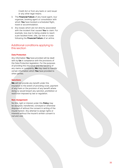Credit Act or from any bank or card issuer or any other legal means.

- 3. The **Financial Failure** of any travel agent, tour organiser, booking agent or consolidator with whom **You** have booked a scheduled flight, travel or accommodation.
- 4. Any losses which are not directly associated with the incident that caused **You** to claim. For example, loss due to being unable to reach a pre-booked hotel, villa, car hire or cruise following the **Financial Failure** of an airline.

# Additional conditions applying to this section

#### **Data Protection**

Any information **You** have provided will be dealt with by **Us** in compliance with the provisions of the Data Protection legislation. For the purposes of providing this insurance and the handling of any claims or complaints, **We** may need to transfer certain information which **You** have provided to other parties.

#### **Sanctions**

**We** will not provide any benefit under this insurance to the extent of providing cover, payment of any claim or the provision of any benefit where doing so would breach any sanction, prohibition or restriction imposed by law or regulation.

#### **Non-Assignment**

No title, right or interest under this **Policy** may be assigned, transferred, conveyed or otherwise disposed of without the consent in writing of the insurer hereon. Any attempt to assign rights or interests without the insurer's written consent is null and void.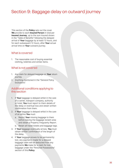# Section 9: Baggage delay on outward journey

This section of the **Policy** sets out the cover **We** provide to each **Insured Person** in total per **Insured Journey**, up to the sum insured shown in the "Table of Benefits" following the delayed arrival of **Your** baggage by at least 12 hours, and for each subsequent 12 hours, after **Your** actual arrival time on **Your** outward journey.

# What is covered

1. The reasonable cost of buying essential clothing, toiletries and similar items.

# What is not covered

- 1. Any claim for delayed baggage on **Your** return journey.
- 2. Anything mentioned in the "General Policy Exclusions".

# Additional conditions applying to this section

- 1. If **Your** baggage is delayed whilst in the care of a carrier, transport company, authority or hotel, **You** must report to them details of the delay or eventual loss and obtain written confirmation from them.
- 2. If **Your** baggage is delayed whilst in the care of an airline **You** must:
	- a. Report **Your** missing baggage to them before leaving the baggage reclaim area and obtain a Property Irregularity Report.
	- b. Retain all travel tickets and baggage tags.
- 3. If **Your** baggage eventually arrives, **You** must obtain written confirmation of the length of the delay.
- 4. If **Your** baggage proves to be permanently lost, any payments made for a delayed baggage claim will be deducted from any payments **We** make for a claim for lost baggage under the "Personal Possessions" section of this **Policy**.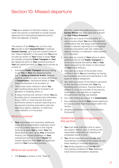# Section 10: Missed departure

If **You** are a resident of Northern Ireland, cover under this section is extended to include missed departure from international departure points within the Republic of Ireland.

This section of the **Policy** sets out the cover **We** provide to each **Insured Person** in total per **Insured Journey**, up to the sum insured shown in the "Table of Benefits", in the event that **You** arrive too late (as shown on **Your** ticket) to board **Your** pre-booked scheduled **Public Transport** at **Your** last departure point on **Your** outward journey or **Your** last departure point on **Your** return journey as a result of:

- 1. Scheduled **Public Transport** services failing to get **You** to **Your** last departure point due to **Strike or Industrial Action**, adverse weather conditions (but not those defined as a **Catastrophe**), mechanical failure or **Your** direct involvement in an accident; or
- 2. The private motor vehicle in which **You** are travelling being directly involved in an accident or breaking down; or
- 3. A delay involving the vehicle in which **You** are travelling due to unexpected and unforeseen heavy traffic or road closures that were sufficiently severe to warrant reporting on a recognised motoring association web site, Highways Agency website, on television, news bulletins or in the press.

# What is covered

1. **Your** reasonable and necessary additional travel and accommodation expenses (room only) of a similar standard to the original booking, to allow **You** to reach **Your** trip destination or catch up on **Your** scheduled itinerary (for missed departure on **Your** outward journey) or to return **Home** (for missed departure from **Your** last departure point on **Your** homeward journey).

# What is not covered

1. The **Excess** as shown in the "Table of

Benefits", unless the additional premium for **Excess Waiver** has been paid and is shown on **Your Policy Schedule**.

- 2. Any claim as a result of heavy traffic or road closures where **You** have not obtained confirmation that the delays were sufficiently severe to warrant reporting on a recognised motoring association web site, Highways Agency website, on television, news bulletins or in the press.
- 3. Any claim as a result of **Your** failure to allow sufficient time for the **Public Transport** to arrive on schedule and deliver **You** to **Your** departure point by the check-in time shown on **Your** travel itinerary.
- 4. Any claim as a result of the private motor vehicle in which **You** are travelling not having been properly serviced and maintained, in the event of vehicle breakdown.
- 5. Any claim as a result of the failure in provision of any service connected with **Your** trip including error, omission, financial failure, or default of, or by the provider of any service, travel agent, tour operator or organiser through whom the trip was booked.
- 6. Any claim arising as a result of a **Catastrophe**.
- 7. Any claim as a result of **Your** missed departure for reasons other than those listed within this section
- 8. Anything mentioned in the "General Policy Exclusions".

# Additional conditions applying to this section

- 1. **You** must allow sufficient time to reach any airport, station, port or terminus with reasonable expectation of meeting the scheduled check-in time.
- 2. **You** will be required to provide **Us** with documentary evidence of the reason for any delay leading to a missed departure.
- 3. **You** will be required to provide **Us** with documentary evidence of **Your** additional travel and accommodation expenses.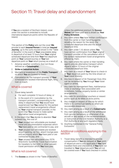# Section 11: Travel delay and abandonment

If **You** are a resident of Northern Ireland, cover under this section is extended to include international departure points within the Republic of Ireland.

This section of the **Policy** sets out the cover **We** provide to each **Insured Person** in total per **Insured Journey**, up to the sums insured shown in the "Table of Benefits", in the event of **Your** unavoidable delay in departure of at least 12 hours from **Your** original scheduled departure time from **Your** first departure point on **Your** outward journey or **Your** last

departure point on **Your** return journey as a result of:

- 1. Adverse weather conditions (but not those defined as a **Catastrophe**).
- 2. **Strike or Industrial Action**.
- 3. Mechanical breakdown of the **Public Transport** on which **You** are booked to travel.
- 4. Cancellation by the transport provider of **Your** scheduled pre-booked international flight, ferry, train or coach.

## What is covered

- 1. Travel delay benefit:
	- a. For each complete 12 hours of delay; or
	- b. In the event of 4. (cancellation by the transport provider), corresponding to the delay in departure that **You** would have experienced had **You** waited for the earliest replacement travel arrangements offered by **Your** original transport provider, in the event that **You** choose to make earlier alternative travel arrangements.
- 2. In the event that **You** decide to abandon **Your** outward trip, the cost of:
	- a. **Your** unused non-refundable pre-booked travel and accommodation expenses which **You** have paid or are contracted to pay; and
	- b. **Your** unused non-refundable pre-booked airport parking, car hire, airport lounge pass and excursions which **You** have paid or are contracted to pay; and
	- c. **Your** unused non-refundable visa, ESTA (Electronic System for Travel Authorisation for travellers to the USA) or other relevant travel permission which **You** have paid.

## What is not covered

unless the additional premium for **Excess Waiver** has been paid and is shown on **Your Policy Schedule**.

- 2. Any claim unless **You** have written confirmation from the carrier or their handling agents detailing the reason for the delay, the scheduled departure time and the actual departure time.
- 3. Any claim under 1. b) above unless **You** have written confirmation from **Your** original transport provider of the cancellation and of the earliest replacement travel arrangements offered by them.
- 4. Any claim where the carrier or their handling agents provide alternative transport which departs within 12 hours of the original scheduled departure time.
- 5. Any claim as a result of **Your** failure to check-in at **Your** departure point by the time shown on **Your** travel itinerary.
- 6. Any loss in respect of Air Passenger Duty (this can be reclaimed by **You** through **Your** travel agent or airline.
- 7. Any claim for management fees, maintenance costs or exchange fees associated with timeshares, holiday property bonds or similar arrangements.
- 8. Any claim for promotional vouchers or reward points such as Air Miles or Avios points.
- 9. Any charges in respect of the trip for which there is no contractual liability or which are recoverable elsewhere.
- 10. Any claim arising as a result of a **Catastrophe**.
- 11. Any claim arising as a result of the withdrawal from service (temporary or otherwise) of an aircraft or sea vessel on the recommendation or instruction of the Civil Aviation Authority or a Port Authority or any such regulatory body.
- 12. Anything mentioned in the "General Policy Exclusions".

## Additional conditions applying to this section

- 1. Travel delay benefit is intended to provide compensation if **You** are delayed at **Your** point of departure and is only applicable if **You** have travelled there and checked-in. If **You** have not travelled to **Your** departure point **You** will not be covered even if **You** have checked-in online.
- 1. The **Excess** as shown in the "Table of Benefits",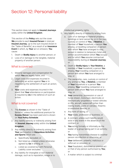# Section 12: Personal liability

This section does not apply to **Insured Journeys** solely within the **United Kingdom**.

This section of the **Policy** sets out the cover **We** provide to each **Insured Person** in total per **Insured Journey**, up to the sum insured shown in the "Table of Benefits", as a result of an **Insurance Event** in which, by **Your** act or omission, **You** cause:

- 1. Death or **Bodily Injury** to another person; or
- 2. Loss of or damage to the tangible, material property of another person.

## What is covered

- 1. Material damages and compensation for which **You** are legally liable; and
- 2. Legal costs and expenses incurred in defending an action against **You** or in negotiating the settlement of such an action; and
- 3. **Your** costs and expenses incurred in the event that **Your** attendance or participation is required by **Us** in the defence of such an action.

## What is not covered

- 1. The **Excess** as shown in the "Table of Benefits", unless the additional premium for **Excess Waiver** has been paid and is shown on **Your Policy Schedule**.
- 2. Any liability directly or indirectly arising from an **Insured Journey** solely within the **United Kingdom**.
- 3. Any liability directly or indirectly arising from **Your** participation in **Hazardous Activities and Sports** which are:
	- a. Specifically excluded; or
	- b. Not listed as covered unless otherwise agreed by **Us** in writing; or
	- c. Listed as covered but with Personal Liability cover excluded.
- 4. Any liability for intangible or non-material damage, such as to reputation, image or to

intellectual property rights.

- 5. Any liability directly or indirectly arising from:
	- a. Loss of or damage to material property, buildings or land owned by, or in the care, custody or control of **You**, a **Relative**, a member of **Your** household, a person **You** employ, a travelling companion or person with whom **You** have arranged to stay, except in relation to temporary hotel and similar accommodation which **You** occupy and for which **You** assume contractual responsibility during an **Insured Journey**; or
	- b. Death or **Bodily Injury** to **Your Relative**, a member of **Your** household, a person **You** employ, **Your** travelling companion or a person with whom **You** have arranged to stay; or
	- c. The ownership, care, custody or control of any animal by **You**, a **Relative**, a member of **Your** household or a person **You** employ, **Your** travelling companion or a person with whom **You** have arranged to stay; or
	- d. **Your** ownership, possession or use of horse-drawn, motorised, electrically or mechanically-propelled or towed vehicles or lifts, aircraft, watercraft (other than rowing boats, punts or canoes), firearms or explosive devices; or
	- e. Any form of racing; or
	- f. **Your** trade, profession or business; or
	- g. A contract, unless such liability would exist in any event in the absence of the contract; or
	- h. **You** acting formally or informally as the leader of a group taking part in an activity; or
	- i. **You** having transmitted disease to another person via infection or otherwise; or
	- j. **Your** deliberate, unlawful, malicious or wilful act or omission; or
	- k. **Your** fraudulent, dishonest or criminal act or that of any person authorised by **You**; or
	- l. A matter which is subject to criminal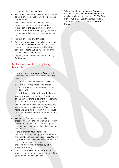proceedings against **You**.

- 6. Any liability directly or indirectly arising where cover is provided under any other insurance or guarantee.
- 7. Any liability directly or indirectly arising through action not brought under the jurisdiction of the courts of the country in which the **Insurance Event** giving rise to the claim occurred unless otherwise agreed by **Us**.
- 8. Punitive or exemplary damages.
- 9. Any claim where **You** have failed to notify **Us** of the **Insurance Event** within a reasonable time of it occurring and where this failure adversely affects **Our** ability to defend the claim or to limit **Our** liability.
- 10. Anything mentioned in the "General Policy Exclusions".

# Additional conditions applying to this section

- 1. If **You** know of any **Insurance Event** which may result in a claim under this section **You** must:
	- a. Inform **Us** in writing without delay; and
	- b. Send all correspondence and legal documents to **Us** unanswered without delay; and
	- c. Not discuss liability with any third party.
- 2. **You** must make no admission of liability, or offer, promise, or make payment or indemnity without **Our** prior written agreement.
- 3. **We** are entitled to take over the defence and settlement of any claim against **You** in **Your** name and have full discretion in the conduct of any proceedings and the settlement of any claim.
- 4. **We** may, at **Our** own expense, take proceedings in **Your** name with full discretion to recover compensation or indemnity from any third party in respect of any loss, damage or expense.
- 5. In the event that **Your** attendance or participation is required by **Us** in the defence or negotiation of an action against **You**, **We** will pay **Your** reasonable and necessary transport and accommodation costs and expenses, provided that these are agreed by **Us** in advance, in writing.
- 6. In the event of **Your** death, **Your** personal legal representative will receive the benefit of cover provided by this section.

7. Where more than one **Insured Person** is involved in the same **Insurance Event**, the maximum **We** will pay in total is £2,000,000. If this limit is reached, this amount will be allocated in proportion to each **Insured Person**.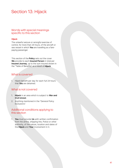# Section 13: Hijack

## Words with special meanings specific to this section

#### **Hijack**

The unlawful seizure or wrongful exercise of control, for more than 24 hours, of the aircraft or sea vessel in which **You** are travelling as a farepaying passenger.

This section of the **Policy** sets out the cover **We** provide to each **Insured Person** in total per **Insured Journey**, up to the sum insured shown in the "Table of Benefits", as a result of **Hijack**.

## What is covered

1. Hijack benefit per day for each full 24 hours that **You** are detained.

## What is not covered

- 1. **Hijack** in an area which is subject to **War and Civil Unrest**.
- 2. Anything mentioned in the "General Policy Exclusions".

# Additional conditions applying to this section

1. **You** must provide **Us** with written confirmation from the airline, shipping line, Police or other authority, of the nature, location and dates of the **Hijack** and **Your** involvement in it.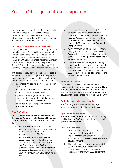# Section 14: Legal costs and expenses

Important - cover under this section is underwritten and administered by DAS Legal Expenses Insurance Company Limited (**DAS**). The legal advice service is provided by DAS Law Limited and or a Preferred Law Firm on behalf of **DAS**.

#### **DAS Legal Expenses Insurance Company**

DAS Legal Expenses Insurance Company Limited is authorised by the Prudential Regulation Authority and regulated by the Financial Conduct Authority (FRN202106) and the Prudential Regulation Authority, DAS Legal Expenses Insurance Company Limited, DAS House, Quay Side, Temple Back, Bristol BS1 6NH. Registered in England and Wales, Company Number 103274, Website: www.das.co.uk

**DAS** agrees to provide the insurance described in this section, in return for payment of the premium and subject to the terms, conditions, exclusions and limitations set out in this section, provided that:

- 1. **Reasonable Prospects** exist for the duration of the claim
- 2. the **Date of Occurrence** of the insured incident is during the **Policy Period**
- 3. any legal proceedings will be dealt with by a court, or other body which **DAS** agree to, within the **Countries Covered** and
- 4. the insured incident happens within the **Countries Covered**.

#### **What DAS will pay**

**DAS** will pay an **Appointed Representative**, on the **Insured Persons** behalf, **Costs and Expenses** incurred following an insured incident, provided that:

- a. the most **DAS** will pay for all claims resulting from one or more events arising at the same time or from the same originating cause is £25,000
- b. the most **DAS** will pay in **Costs and Expenses** is no more than the amount **DAS** would have paid to a **Preferred Law Firm**. The amount **DAS** will pay a law firm (where acting as an **Appointed Representative**) is currently £100 per hour. This amount may vary from time to time.
- c. in respect of an appeal or the defence of an appeal, the **Insured Person** must tell **DAS** within the time limits allowed that the **Insured Person** wants to appeal. Before **DAS** pay the **Costs and Expenses** for appeals, **DAS** must agree that **Reasonable Prospects** exist
- d. for an enforcement of judgment to recover money and interest due to the **Insured Person** after a successful claim under this section, **DAS** must agree that **Reasonable Prospects** exist, and
- e. where an award of damages is the only legal remedy to a dispute and the cost of pursuing legal action is likely to be more than any award of damages, the most **DAS** will pay in **Costs and Expenses** is the value of the likely award.

#### **What DAS will not pay**

In the event of a claim, if the **Insured Person** decides not to use the services of a **Preferred Law Firm**, the **Insured Person** will be responsible for any costs that fall outside the **DAS Standard Terms of Appointment** and these will not be paid by **DAS**.

#### **Definitions applicable to this section**

The following words have these meanings wherever they appear in this section in **bold:** 

#### **Appointed Representative**

The **Preferred Law Firm**, law firm or other suitably qualified person **DAS** will appoint to act on behalf of the **Insured Person**.

#### **Costs and Expenses**

- a. All reasonable and necessary costs chargeable by the **Appointed Representative** and agreed by **DAS** in accordance with the **DAS Standard Terms of Appointment.**
- b. The costs incurred by opponents in civil cases if the **Insured Person** has been ordered to pay them, or the **Insured Person** pays them with **DAS'** agreement.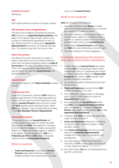#### **Countries Covered**

Worldwide.

#### **DAS**

DAS Legal Expenses Insurance Company Limited.

### **DAS Standard Terms of Appointment**

The terms and conditions (including the amount **DAS** will pay to an **Appointed Representative**) that apply to the relevant type of claim, which could include a conditional fee agreement (no win, no fee). Where a law firm is acting as an **Appointed Representative** the amount is currently £100 per hour. This amount may vary from time to time.

#### **Date of Occurrence**

The date of the event that leads to a claim. If there is more than one event arising at different times from the same originating cause, the **Date of Occurrence** is the date of the first of these events. (This is the date the event happened, which may be before the date the **Insured Person** first became aware of it.)

#### **Insured Person**

The person stated on the **Policy Schedule** as being insured.

## **Preferred Law Firm**

A law firm or barristers' chambers **DAS** choose to provide legal services. These legal specialists are chosen as they have the proven expertise to deal with the **Insured Person's** claim and must comply with **DAS'** agreed service standard levels, which **DAS** audit regularly. They are appointed according to the **DAS Standard Terms of Appointment**.`

#### **Reasonable Prospects**

The prospects that the **Insured Person** will recover losses or damages (or obtain any other legal remedy that **DAS** have agreed to, including an enforcement of judgment), make a successful defence or make a successful appeal or defence of an appeal, must be at least 51%. **DAS**, or a **Preferred Law Firm** on **DAS**' behalf, will assess whether there are **Reasonable Prospects**.

## What is covered

1. **Costs and Expenses** to pursue an **Insured Person's** legal rights following a specific or sudden accident that causes death or bodily injury to the **Insured Person**.

## What is not covered

**DAS** will not pay for the following:

- 1. Any claim relating to any **Illness** or bodily injury that happens gradually or is not caused by a specific or sudden accident.
- 2. Any claim relating to psychological injury or mental illness unless the condition follows a specific or sudden accident that has caused physical bodily injury to an **Insured Person**.
- 3. Defending an **Insured Person's** legal rights, but **DAS** will cover defending a counter-claim.
- 4. Any claim relating to clinical negligence.

# Exclusions applying to this section - Also see General policy exclusions

- 1. A claim where an **Insured Person** has failed to notify **DAS** of the insured incident within a reasonable time of it happening and where this failure adversely affects the **Reasonable Prospects** of a claim or **DAS** consider their position has been prejudiced.
- 2. An incident or matter arising before the start of this cover.
- 3. **Costs and Expenses** incurred before **DAS**' written acceptance of a claim.
- 4. Fines, penalties, compensation or damages that a court or other authority orders an **Insured Person** to pay.
- 5. Any legal action an **Insured Person** takes that **DAS** or the **Appointed Representative** have not agreed to, or where an **Insured Person** does anything that hinders **DAS** or the **Appointed Representative**.
- 6. A dispute with **DAS** not otherwise dealt with under section condition 7.
- 7. **Costs and Expenses** arising from or relating to judicial review, coroner's inquest or fatal accident inquiry.
- 8. Any **Costs and Expenses** that are incurred where the **Appointed Representative** handles the claim under a contingency fee arrangement.
- 9. Any claim against ERGO Travel Insurance Services Ltd (**ETI**), Great Lakes Insurance SE or their respective agents.
- 10. Any claim where **You** are not represented by a law firm or barrister.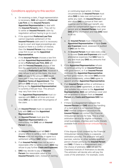# Conditions applying to this section

- 1.
- a. On receiving a claim, if legal representation is necessary, **DAS** will appoint a **Preferred Law Firm** as the **Insured Person's Appointed Representative** to deal with the **Insured Person's** claim. They will try to settle an **Insured Person's** claim by negotiation without having to go to court.
- b. If the appointed **Preferred Law Firm** cannot negotiate settlement of the **Insured Person's** claim and it is necessary to go to court and legal proceedings are issued or there is a conflict of interest, then the **Insured Person** may choose a law firm to act as the **Appointed Representative**.
- c. If the **Insured Person** chooses a law firm as their **Appointed Representative** which is not a **Preferred Law Firm, DAS** will give the **Insured Person's** choice of law firm the opportunity to act on the same terms as a **Preferred Law Firm**. However if they refuse to act on this basis, the most **DAS** will pay is the amount **DAS** would have paid if they had agreed to the **DAS Standard Terms of Appointment**. The amount **DAS** will pay a law firm (where acting as the **Appointed Representative**) is currently £100 per hour. This amount may vary from time to time.
- d. The **Appointed Representative** must cooperate with **DAS** at all times and must keep **DAS** up to date with the progress of the claim.
- 2.
- a. An **Insured Person** must co-operate fully with **DAS** and the **Appointed Representative.**
- b. An **Insured Person** must give the **Appointed Representative** any instructions that **DAS** ask an **Insured Person** to give.
- 3.
- a. An **Insured Person** must tell **DAS** if anyone offers to settle a claim. An **Insured Person** must not negotiate or agree to a settlement without **DAS'** written consent.
- b. If an **Insured Person** does not accept a reasonable offer to settle a claim, **DAS** may refuse to pay further **Costs and Expenses**.
- c. **DAS** may decide to pay an **Insured Person** the reasonable value of the **Insured Person's** claim, instead of starting

or continuing legal action. In these circumstances an **Insured Person** must allow **DAS** to take over and pursue or settle any claim. An **Insured Person** must also allow **DAS** to pursue at their own expense and for their own benefit, any claim for compensation against any other person and an **Insured Person** must give **DAS** all the information and help **DAS** need to do so.

a. An **Insured Person** must instruct the **Appointed Representative** to have **Costs and Expenses** taxed, assessed or audited if **DAS** ask for this.

4.

- b. An **Insured Person** must take every step to recover **Costs and Expenses** and court attendance expenses that **DAS** have to pay and must pay **DAS** any amounts that are recovered.
- 5. If the **Appointed Representative** refuses to continue acting for an **Insured Person** with good reason, or if an **Insured Person** dismisses the **Appointed Representative** without good reason, the cover **DAS** provide will end immediately, unless **DAS** agree to appoint another **Appointed Representative**.
- 6. If an **Insured Person** settles or withdraws a claim without **DAS'** agreement, or does not give suitable instructions to the **Appointed Representative**, **DAS** can withdraw cover and will be entitled to reclaim from an **Insured Person** any **Costs and Expenses DAS** has paid.
- 7. If there is a disagreement between the **Insured Person** and **DAS** about the handling of a claim and it is not resolved through **DAS'** internal complaints procedure the **Insured Person** can contact the Financial Ombudsman Service for help. This is a free arbitration service for eligible consumers, small businesses, charities and trusts. (Details available from [www.financial-ombudsman.org.](http://www.financial-ombudsman.org.uk) [uk\)](http://www.financial-ombudsman.org.uk).

If the dispute is not covered by the Financial Ombudsman Service there is a separate arbitration process. The arbitrator will be a barrister, solicitor or other suitably qualified person chosen jointly by the **Insured Person**  and **DAS**. If there is a disagreement over the choice of arbitrator, **DAS** will ask the Chartered Institute of Arbitrators to decide. The arbitrator will decide who will pay the costs of the arbitration. For example, costs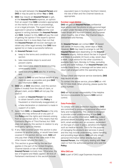may be split between the **Insured Person** and **DAS** or may be paid by either **You** or **DAS**.

8. **DAS** may require an **Insured Person** to get, at the **Insured Person's** expense, an opinion from an expert that **DAS** considers appropriate on the merits of the claim or proceedings, or on a legal principle. The expert must be approved in advance by **DAS** and the cost agreed in writing between the **Insured Person** and **DAS**. Subject to this, **DAS** will pay the cost of getting the opinion if the expert's opinion indicates that it is more likely than not that the **Insured Person** will recover damages (or obtain any other legal remedy that **DAS** have agreed to) or make a successful defence.

#### 9. An **Insured Person** must:

- a. keep to the terms and conditions of this section
- b. take reasonable steps to avoid and prevent claims
- c. take reasonable steps to avoid incurring unnecessary costs
- d. send everything **DAS** asks for, in writing, and
- e. report to **DAS** full and factual details of any claim as soon as possible and give **DAS** any information **DAS** need.
- 10. **DAS** will, at **DAS**' discretion, void this section (make it invalid) from the date of claim, or alleged claim, and/or **DAS** will not pay the claim if:
	- a. a claim an **Insured Person** has made to obtain benefit under this **Policy** is fraudulent or intentionally exaggerated, or
	- b. a false declaration or statement is made in support of a claim.
- 11. Apart from **DAS**, an **Insured Person** is the only person who may enforce all or any part of this **Policy** and the rights and interests arising from or connected with it. This means that the Contracts (Rights of Third Parties) Act 1999 does not apply to this section in relation to any third-party rights or interest.
- 12. If any claim covered under this section is also covered by another policy, or would have been covered if this section did not exist, **DAS** will only pay their share of the claim even if the other insurer refuses the claim.
- 13. This section is governed by the law that applies in the part of the United Kingdom, Channel Islands or Isle of Man where the **Insured Person** normally lives. Otherwise, the law of England and Wales applies. All Acts of Parliament mentioned in this section include

equivalent laws in Scotland, Northern Ireland, the Isle of Man and the Channel Islands as appropriate.

#### **Eurolaw Legal Advice**

**DAS** will give an **Insured Person** confidential legal advice over the phone on any personal legal problem under the laws of the United Kingdom of Great Britain and Northern Ireland, any European Union Country, Isle of Man, the Channel Islands, Switzerland and Norway.

An **Insured Person** can contact **DAS'** UK-based call centre 24 hours a day, seven days a week. However, **DAS** may need to arrange to call the **Insured Person** back depending on the **Insured Person's** enquiry. Advice about the law in England and Wales is available 24 hours a day, seven days a week. Legal advice for the other countries is available 9am-5pm, Monday to Friday, excluding public and bank holidays. If an **Insured Person** calls outside these times, a message will be taken and a return call arranged within the operating hours.

To help check and improve service standards, **DAS**  may record all calls.

To contact the above service, phone **DAS** on +44 (0) 117 934 0548. When phoning, please quote the policy number.

**DAS** will not accept responsibility if the Helpline Service is unavailable for reasons **DAS** cannot control.

#### **Data Protection**

To comply with data protection regulations **DAS** are committed to processing personal information fairly and transparently. This section is designed to provide a brief understanding of how **DAS** collect and use this information. **DAS** may collect personal details including name, address, date of birth, email address and, on occasion, dependent on the type of cover in place, sensitive information such as medical records. This is for the purpose of managing the products and services in place and this may include underwriting, claims handling and providing legal advice. **DAS** will only obtain personal information either directly from the **Insured Person**, the third party dealing with **Your** claim or from the authorised partner who sold this **Policy**.

#### **Who DAS are**

**DAS** is part of DAS Legal Expenses Insurance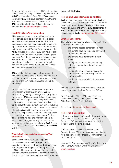Company Limited which is part of DAS UK Holdings Limited (DAS UK Group). The uses of personal data by **DAS** and members of the DAS UK Group are covered by **DAS**' individual company registrations with the Information Commissioner's Office **DAS** has a Data Protection Officer who can be contacted at [dataprotection@das.co.uk](mailto:dataprotection%40das.co.uk?subject=)

#### **How DAS will use Your Information**

**DAS** may need to send personal information to other parties, such as lawyers or other experts, the court, insurance intermediaries, insurance companies, appointed service providers, specialist agencies or other members of the DAS UK Group, so they may contact **You** for **Your** feedback. If the **Policy** includes legal advice **DAS** may have to send the personal information outside of the European Economic Area (EEA) in order to give legal advice on non-European Union law. Dependent on the type of cover in place, the personal information may also be sent outside the EEA so the service provider can administer the claim.

**DAS** will take all steps reasonably necessary to ensure the personal data is treated securely and in accordance with this Privacy Notice. Any transfer outside of the EEA will be encrypted using SSL technology.

**DAS** will not disclose the personal data to any other person or organisation unless **We** are required to by **Our** legal and regulatory obligations. For example, **DAS** may use and share the personal data with other organisations and public bodies, including the police and anti-fraud organisations, for the prevention and detection of crime, including fraud and financial sanctions. If false or inaccurate information is provided and fraud is identified, details will be passed to fraud prevention agencies to prevent fraud and money laundering. Further details explaining how the information held by fraud prevention agencies may be used can be obtained by writing to, or telephoning **DAS**. A copy is also accessible and can be downloaded via **DAS**' website.

#### **What Is DAS' legal basis for processing Your information?**

It is necessary for **DAS** to use the personal information to perform **Our** obligations in accordance with any contract that **DAS** may have with the person taking out this **Policy**. It is also in **DAS**' legitimate interest to use the personal information for the provision of services in relation to any contract that **DAS** may have with the person taking out this **Policy**.

#### **How long will Your information be held for?**

**DAS** will retain personal data for 7 years. **DAS** will only retain and use the personal data thereafter as necessary to comply with **DAS** legal obligations, resolve disputes, and enforce **DAS**' agreements. If **You** no longer want **DAS** to use the personal data, please contact **DAS** at [dataprotection@das.co.uk](mailto:dataprotection%40das.co.uk?subject=)

#### **What are Your rights?**

The following rights are available in relation to the handling of personal data:

- the right to access personal data held
- the right to have inaccuracies corrected for personal data held
- the right to have personal data held erased
- the right to object to direct marketing being conducted based upon personal data held
- the right to restrict the processing for personal data held, including automated decision-making
- the right to data portability for personal data held

Any requests, questions or objections should be made in writing to the Data Protection Officer:

Data Protection Officer, DAS Legal Expenses Insurance Company Limited, DAS House, Quay Side, Temple Back, Bristol, BS1 6NH

Or via Email: [dataprotection@das.co.uk](mailto:dataprotection%40das.co.uk?subject=)

#### **How to make a complaint**

If there is any dissatisfaction with the way in which personal data has been processed, the Data Protection Officer can be contacted in the first instance using the details above.

If **You** remain dissatisfied, the Information Commissioner's Office can be approached directly for a decision. The Information Commissioner can be contacted at:

Information Commissioner's Office, Wycliffe House, Water Lane, Wilmslow, Cheshire, SK9 5AF

[www.ico.org.uk](www.ico.org.ukhttp://)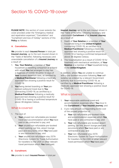# Section 15: COVID-19 cover

**PLEASE NOTE**: this section of cover extends the cover provided under the "Emergency medical and repatriation expenses", "Cancellation" and "Curtailment and loss of holiday" sections of this **Policy** as follows:

#### **A. Cancellation.**

**We** provide to each **Insured Person** in total per **Insured Journey**, up to the sum insured shown in the "Table of Benefits", following necessary and unavoidable cancellation of a **Insured Journey** as a result of:

- 1. **You**, **Your Relative**, a member of **Your** household or travelling companion or a friend with whom **You** had arranged to stay has a diagnosis of COVID-19 within 14 days of **Your** booked departure date, as certified by a **Medical Practitioner** following a medically approved test showing a positive result for COVID-19.
- 2. **You** being denied boarding on **Your** prebooked outbound travel due to **You** contracting COVID-19, as certified by a **Medical Practitioner** following a medically approved test showing a positive result for COVID-19 or having a confirmed temperature above 38 degrees Celsius.

# What is covered

- 1. The cost of:
	- a. **Your** unused non-refundable pre-booked travel and accommodation which **You** have paid or are contracted to pay; and
	- b. **Your** unused non-refundable pre-booked airport parking, car hire, airport lounge pass and excursions which **You** have paid or are contracted to pay; and
	- c. **Your** unused non-refundable visa, ESTA (Electronic System for Travel Authorisation for travellers to the USA) or other relevant travel permission which **You** have paid.

#### **B. Curtailment.**

**Insured Journey**, up to the sum insured shown in the "Table of Benefits", following necessary and unavoidable **Curtailment** of an **Insured Journey** as a result of:

- 1. Death of **Your Relative** or a member of **Your** household living in the **United Kingdom** contracting COVID-19, as certified by a **Medical Practitioner** following a medically approved test showing a positive result for COVID-19 or having a confirmed temperature above 38 degrees Celsius.
- 2. The hospitalisation as a result of COVID-19 for treatment with mechanical ventilation, of **Your Relative** or a member of **Your** household living in the **United Kingdom**.

In addition, where **You** are unable to continue with a pre-booked excursion following **Your** selfisolation as ordered by a relevant Government authority due to contracting COVID-19, as certified by a **Medical Practitioner** following a medically approved test showing a positive result for COVID-19.

# What is covered

- 1. **Your** reasonable additional travel and accommodation expenses which **You** incur in the **Curtailment** of **Your Insured Journey**; and
- 2. A pro-rata amount corresponding to the cost of the unused proportion of:
	- a. **Your** non-refundable pre-booked travel and accommodation expenses which **You** have paid or are contracted to pay; and
	- b. **Your** non-refundable pre-booked airport parking, car hire, airport lounge pass and excursions which **You** have paid or are contracted to pay; and
	- c. **Your** non-refundable visa, ESTA (Electronic System for Travel Authorisation for travellers to the USA) or other relevant travel permission which **You** have paid.

**We** provide to each **Insured Person** in total per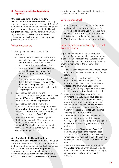#### **C. Emergency medical and repatriation expenses.**

#### **C.1. Trips outside the United Kingdom**

**We** provide to each **Insured Person** in total, up to the sums insured shown in the "Table of Benefits", in the event of an unforeseen medical emergency during an **Insured Journey** outside the **United Kingdom** as a result of **You** contracting COVID-19, as certified by a **Medical Practitioner** following a medically approved test showing a positive result for COVID-19.

# What is covered

- 1. Emergency medical and repatriation expenses:
	- a. Reasonable and necessary medical and hospital expenses, including the cost of ambulance transport where medically necessary to take **You** to hospital; and
	- b. Returning **You** to the **United Kingdom** provided this is medically safe and authorised by **Us** or **Our Assistance Company**; and
	- c. The cost of a medical escort where this is deemed necessary by **Us** or **Our Assistance Company**, in the event of **Your** emergency repatriation to the **United Kingdom**; and
- 2. Reasonable additional travel and accommodation expenses (room only) for **You** to extend **Your** stay until **You** are medically fit to return to the **United Kingdom**; and
- 3. Reasonable additional travelling and accommodation expenses to repatriate **You** to the **United Kingdom** when **You** are denied boarding on **Your** pre-booked return travel due to **You** contracting COVID-19.
- 4. Confinement benefit: a benefit payment of £30 for each complete 24 hour period up to £300 where **You** are ordered into selfisolation in **Your** holiday accommodation by a relevant Government authority, as a result of **You** contracting COVID-19.

#### **C.2. Trips inside the United Kingdom**

**We** provide to each **Insured Person** in total, up to the sums insured shown in the "Table of Benefits", in the event of an unforeseen medical emergency during a trip inside the **United Kingdom** of 2 or more consecutive nights in pre-booked accommodation as a result of **You** contracting COVID-19, as certified by a **Medical Practitioner**

following a medically approved test showing a positive result for COVID-19.

# What is covered

- 1. Extra transport and accommodation for **You** and one other person who stays with **You**, or who has to travel to **You** from within **Your Home** country and/or travel back with **You**, if this is necessary due to medical advice.
- 2. **Your** body or ashes to be transported **Home**.

## What is not covered applying to all sub-sections

Applicable in addition to any exclusion listed under the "Emergency medical and repatriation expenses", "Cancellation" and "Curtailment and loss of holiday" sections of this **Policy** including anything mentioned in the General Policy Exclusions:

- 1. Travel or accommodation costs where a credit or voucher has been provided in lieu of a cash refund.
- 2. Claims arising directly or indirectly from COVID-19 resulting in a national or local lockdown or any restrictions of movement affecting the area where **Your Home** is located, the country or specific area or event to which **You** were travelling to or through.
- 3. Any claim where **You** are experiencing symptoms of COVID-19, or have been told to self-isolate at the time **You** purchased, renewed or extended this insurance, or at the time of booking any **Insured Journey**, whichever is later, or in the case of claims under sub-section C, started **Your Insured Journey** whichever was later.
- 4. **Your** quarantine when it has been imposed on a community, geographic location or vessel, or travellers returning from a specified location, imposed by a government or public authority.
- 5. Any claim where **You** contract COVID-19 and **You** have not had the recommended vaccination(s) (consideration will be given where **You** were medically unable to have the vaccination, and this is shown in **Your** medical records).
- 6. Any claim where **You** have not returned to the **United Kingdom** when advised to do so by the UK Government including the Foreign, Commonwealth & Development Office (FCDO).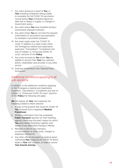- 7. Any claim arising as a result of **You**, or Your travelling companion being unable to complete the full COVID-19 vaccination course before **Your** scheduled departure date due to delays in supply, or changes in Government policy.
- 8. Any claim where **You** have travelled during a Government imposed lockdown.
- 9. Any claim where **You** do not hold the required confirmation of vaccination documentation, for example a vaccination passport.
- 10. Any claim made under the "COVID-19 cover" in addition to a claim under either the "Emergency medical and repatriation expenses", "Cancellation", "Curtailment and loss of holiday" or "Enhanced COVID-19 cover" sections of this **Policy** .
- 11. Any costs incurred by **You** which **You** are eligible to recover from **Your** tour operator, airline, credit/debit card provider or any other source.
- 12. Anything mentioned in the "General Policy Exclusions".

# Additional conditions applying to all sub-sections

In addition to the additional conditions applying to the "Emergency medical and repatriation expenses", "Cancellation", "Curtailment and loss of holiday" or "Enhanced COVID-19 cover" sections of this **Policy** the following will apply:

**We** will require (at **Your** own expense) the following evidence where relevant:

- 1. A copy of the positive test result for COVID-19 **You** received from a registered **Medical Practitioner** .
- 2. Written confirmation from the scheduled **Public Transport** operator (or their handling agents) confirming the exact reason for which **You** were denied boarding, together with details of any alternative transport offered.
- 3. Receipts or bills for any transport, accommodation or other costs, charges or expenses claimed for.
- 4. Any other official document or medical report confirming **Your** diagnosis for COVID-19 which leads to **Your** self-isolation, or need to cancel **Your Insured Journey** .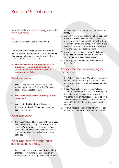# Section 16: Pet care

## Words with special meanings specific to this section

#### **Pet**

A domesticated cat or dog owned by **You**.

This section of the **Policy** sets out the cover **We** provide to each **Insured Person** in total per **Insured Journey**, up to the sums insured shown in the "Table of Benefits" as a result of:

**A. The cancellation or abandonment of Your trip, subject to a valid cancellation or abandonment claim under the relevant sections of this Policy.**

# What is covered

- 1. **Your** unused non-refundable pre-booked kennel and/or cattery fees which **You** have paid or are contracted to pay.
- **B. Your unavoidable delay in returning to Your Home due to:**
- 1. **Your** death, **Bodily Injury** or **Illness**; or
- 2. A delay to the **Public Transport** system on **Your** return journey.

## What is covered

1. The reasonable additional costs of housing **Your Pet** in a kennel or cattery until **You** are able to return to **Your Home** or, in the event of **Your** death, until **Your** legal personal representative or other authorised person is able to collect **Your** pet.

## What is not covered applying to sub-sections A. and B.

1. Any claim following **Your** death, **Bodily Injury** or **Illness,** or following the cancellation or abandonment of **Your** trip, unless this results in an insured claim under another section of this **Policy**.

- 2. Any claim following a delay to **Public Transport** on which **You** were scheduled to travel, unless **You** obtain and provide **Us** with written confirmation from the transport provider of the reason for the delay, the scheduled departure time and the actual departure time.
- 3. Any claim for costs when **Your Pet** is housed by a **Relative** or friend during the period in which **Your** return **Home** is delayed.
- 4. Anything mentioned in the "General Policy Exclusions"

# Additional conditions applying to this section

- 1. If a **Pet** is jointly owned, **We** will only reimburse kennel or cattery fees or pay additional kennel or cattery costs for the same **Insurance Event** once.
- 2. If **Your Pet** was being housed by a **Relative** or friend for the scheduled duration of **Your** trip but has to be moved to a kennel or cattery during the period in which **Your** return **Home** is delayed, You will be eligible to claim for additional costs, subject to the other terms and conditions of this section.
- 3. **You** will be required to provide **Us** with receipts or bills for any kennel or cattery costs incurred.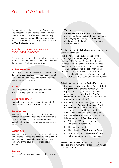# Section 17: Gadget

You are automatically covered for Gadget cover. The increased limits under the Enhanced Gadget cover extension in the "Table of Benefits" only apply if the appropriate additional premium has been paid and Enhanced Gadget cover is shown on **Your Policy Schedule**.

## Words with special meanings specific to this section

The words and phrases defined below are specific to this cover and have the same meaning wherever they appear in Gadget cover section.

#### **Accidental Damage**

Means the sudden unforeseen and unintentional damage to **Your Gadget**. This includes damage to screens and damage resulting from sudden and unforeseen liquid damage.

#### **Business**

Means a company where **You** are an owner, director or employee of that company.

#### **Claims Administrator**

Taurus Insurance Services Limited. Suite 2209- 2217 Eurotowers, Europort Road, Gibraltar.

#### **Computer virus**

Means a self-replicating program that spreads by inserting copies of itself into other executable code or document, that is loaded onto **Your** gadget without **Your** knowledge and runs against **Your** wishes.

#### **Custom Built**

Means a complete computer or laptop made from components supplied and assembled by qualified engineers at a **United Kingdom** VAT registered company, or the equivalent tax registration if purchased overseas.

#### **Gadget(s)**

The item(s), excluding accessories which belong to:

- 1. **You**; or
- 2. A **Business** where **You** have the relevant authority and responsibility to use and insure the **Gadget(s)** owned by the **Business**. Confirmation of this will be required in the event of a claim.

For the purpose of this **Policy** a gadget can be any of the following items:

Mobile Phones, Tablets, Laptops and PC's (including **Custom Built**), Digital Cameras, PC Monitors, MP3 Players, Games Consoles, Video Cameras, Camera Lenses, Bluetooth Headsets, Satellite Navigation Devices, PDAs, E-Readers, Head/Earphones, Portable Health Monitoring Devices (such as a blood glucose or blood pressure testing kit), Wearable Technology (such as a Smart Watch or a Health and Fitness Tracker).

**Criteria: We** can only insure **Gadget(s)** that are:

- 1. Purchased new or refurbished from a **United Kingdom** VAT registered company, or the equivalent tax registration if purchased overseas, and supplied with a **Proof of Purchase** (original purchase receipt or phone contract showing IMEI No).
- 2. Purchased second hand or gifted to **You**, provided that **You** have the original **Proof of Purchase** (which corresponds to notes 1 above) and a signed letter from the original owner confirming that **You** own the **Gadget(s)**. The letter must include the following details of **Your Gadget(s)**:
	- a. Either the IMEI or serial number (whichever is applicable);
	- b. The make and model;
	- c. The sale price (**Your Purchase Price**);
	- d. Confirmation that the **Gadget(s)** were in full working order at the time of sale.

**Please note:** The **Gadget** must be in good condition and in full working order at the time **You** commence **Your Trip**.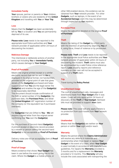#### **Immediate Family**

**Your** spouse, partner or parents or **Your** children, brothers or sisters who are residents of the **United Kingdom** and travelling with **You** on **Your Trip**.

#### **Loss**

Means that the **Gadget** has been accidentally left by **You** in a location and **You** are permanently deprived of its use.

**Please note: Loss** needs to be reported to the appropriate local Police authorities and **Your** network provider (if applicable) within 24 hours of discovering the incident.

#### **Malicious Damage**

The intentional or deliberate actions of another party, not including **You** or **Immediate Family**, which causes damage to **Your Gadget**.

#### **Proof of Purchase**

Means the original printed receipt or a similar electronic record that can be sent to **Us** or displayed in its original format, not handwritten, provided at the original point of sale that gives details of the **Gadget(s)** purchased and helps support proof that **You** are the legal owner the **Gadget(s)** and enables the age of the **Gadget(s)** to be reasonably identified.

The document should include confirmation of the IMEI or serial number of the **Gadget(s)**, the purchase date, the **Purchase Price**, and detail the **United Kingdom** VAT registration number of the company (or the equivalent tax if purchased overseas).

For **Gadget(s)** that are Gifted to **You** - **We** will require a signed letter from the original owner confirming that **You** own the **Gadget(s)**.

For the purchase of Second-Hand **Gadget(s)** - A printed receipt or electronic record provided by a retailer or person selling the second-hand **Gadget(s)** is not acceptable as **Proof of Purchase**.

Delivery notes are not an acceptable form of **Proof of Purchase**.

#### **Proof of Usage**

Means evidence that shows **Your Gadget** has been in use before the event giving rise to the claim. Where the **Gadget** is a mobile phone, or other SIM enabled device, this evidence can be obtained from **Your** network provider. For other **Gadgets**, such as laptops, in the event of an **Accidental Damage** claim this may be determined through inspection by **Our** repairers.

#### **Purchase Price**

Means the sale price detailed on the original **Proof of Purchase**.

#### **Theft**

Means the taking of the **Gadget** by a third party with the intention of permanently depriving **You** of it, using force, threat of violence or by pickpocket.

**Please note: Theft** and **Loss** needs to be reported to the appropriate local Police authorities and **Your** network provider (if applicable) within 24 hours of discovering the incident. **Theft** claims must also be accompanied by a valid Police crime reference report. **Loss** property reports and reference numbers on their own will not be accepted in support of a **Theft** claim.

#### **Trip**

Travel during the **Policy Period**.

#### **Unauthorised Usage**

The cost of unauthorised calls, messages and downloads made from **Your Gadget** after it was stolen. Cover will only apply within 24 hours of discovery of the **Theft** of **Your Gadget**. Itemised bills must be provided to support **Your** claim.

**Please note:** This cover will only apply if there is no protection from such losses from **Your** network provider.

#### **Unattended**

Means that the **Gadget(s)** are neither on **Your** person or within **Your** sight and/or reach.

#### **Warranty**

Means the period where the **Claims Administrator** will resolve any defects in materials and workmanship when they repair or replace **Your Gadget** in the event of a claim, when **Your Gadget**  is used normally in accordance with manufactures guidelines. For repairs the **Warranty** provided is 3 months and for a replacement the **Warranty** provided is 12 months. This **Warranty** will also include the costs associated with transporting the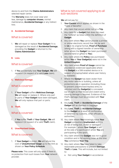device to and from the **Claims Administrators** selected repair centre.

The **Warranty** does not cover wear and tear, damage by **computer viruses**, normal maintenance, **Accidental Damage** or any indirect loss.

## **A. Accidental Damage.**

## What is covered

1. **We** will repair or replace **Your Gadget** if it is damaged as the result of **Accidental Damage**, providing the **Gadget** is returned to the **Claims Administrator**.

## **B. Loss.**

## What is covered

1. If **You** accidentally lose **Your Gadget**, **We** will replace it (in respect of a valid **Loss** claim).

#### **C. Malicious Damage.**

## What is covered

1. If **Your Gadget** suffers **Malicious Damage**, **We** will repair or replace it. Where only part or parts of **Your Gadget** have been damaged, **We** will only replace that part or parts.

#### **D. Theft.**

## What is covered

- 1. If **You** suffer **Theft** of **Your Gadget**, **We** will replace it (in respect of a valid **Theft** claim).
- **E. Unauthorised Usage.**

## What is covered

1. If **Your Gadget** is stolen, **We** will refund the cost of **Unauthorised Usage** up to the limit as shown on **Your Policy Schedule**.

**Please note:** This cover will only apply if there is no protection from such losses from **Your** network provider.

## What is not covered applying to all sub-sections

**We** will not pay for:

- 1. **Your Excess** which applies as shown in the "Table of Benefits".
- 2. Any claim that occurs whilst not on a **Trip**.
- 3. Any claim for a **Gadget** that does not meet the "Criteria" as listed within the definition of **Gadget**.
- 4. Any claim where **You** cannot provide a printed or similar electronic record that can be sent to **Us** in its original format, **Proof of Purchase** (along with a signed transfer of ownership letter where the **Gadget** has been purchased second hand or gifted to **You**).
- 5. Any claim where the **Policy** was purchased whilst **You** or **Your Gadget(s)** were not in the **United Kingdom**.
- 6. Any claim where **Proof of Usage** cannot be provided or evidenced (applicable where the **Gadget** is a SIM enabled device or in respect of a laptop/tablet where user history is available).
- 7. Where the **Gadget** has been stolen from any motor vehicle or building, unless all protections are in operation (including those to prevent unauthorised keyless entry to vehicles) and the **Gadget(s)** is concealed out of sight so that forced and violent entry causing damage is required. Evidence of the thief's damage must be provided with **Your** claim.
- 8. Any **Loss**, **Theft** or **Accidental Damage** of the **Gadget** left as checked-in baggage.
- 9. Any **Loss**, **Theft** or **Accidental Damage** to the **Gadget** as a result of confiscation of detention by customs, other officials or authorities.
- 10. Any claim where **You** knowingly leave **Your Gadget** somewhere **Unattended** and it is at risk of being lost, stolen or damaged. For example - where **Your Gadget** is left at the side of a sports pitch whilst **You** are participating in the sport.
- 11. Any claim where the **Gadget** was not in good condition and in full working order at the time **You** commence **Your Trip.**
- 12. Any claim where **You** have failed to take reasonable precautions to prevent **Damage**, **Theft** or **Loss**. This will include, but not limited to:
	- a. Not using **Your Gadget** in accordance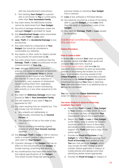with the manufacturer's instructions;

- b. Not handing **Your Gadget** to a person who is not known to **You** or a third party, other than **Your Immediate Family**.
- 13. Any claim where the IMEI/Serial number cannot be determined from **Your Gadget**.
- 14. Any kind of damage whatsoever unless the damaged **Gadget** is provided for repair.
- 15. Any **Unauthorised Usage** unless associated with a valid **Theft** or **Loss** claim.
- 16. **Loss**, **Theft** of or **Accidental Damage** to any accessories.
- 17. Any claim solely for components of **Your Gadget** that would be considered a consumable e.g. batteries.
- 18. Any repairs or other costs for repairs carried out by anyone not authorised by **Us**.
- 19. Any claim where there is evidence that the **Damage**, **Theft** or **Loss** occurred prior to the commencement of **Your trip**.
- 20. **Loss**, damage, destruction, distortion, erasure, corruption or alteration of electronic data from any **Computer Virus** or similar mechanism or as a result of any failure of the Internet, or loss of use, reduction in functionality, cost, expense of whatsoever nature resulting there from, regardless of any other cause or event contributing concurrently or in any other sequence to the **Loss**.
- 21. Any claim for **Malicious Damage** which was caused by **You** or **Your Immediate Family**.
- 22. The VAT element of any claim if **You** are registered for VAT.
- 23. Any claim resulting from an unlawful act. This will include, but not limited to:
	- a. Any unlawful act deliberately or intentionally committed by an **Insured Person**; or
	- b. The operation of law or the order of any court; or
	- c. Civil or criminal proceedings against anyone on whom **Your Insured Journey** depends.
- 24. Any **Damage**, **Theft** or **Loss** to SIM or memory cards in isolation (unless it accompanies a valid claim for **Your Gadget**).
- 25. Cosmetic damage to the **Gadget** that has no effect on the functionality of the **Gadget**, to include marring, scratching and denting.
- 26. Any modifications that have been made from the original specifications of the **Gadget**. This would include things like adding gems,

precious metals or unlocking **Your Gadget** from a network.

- 27. **Loss** of any software or firmware failures.
- 28. Any expense incurred as a result of not being able to use the **Gadget**, or any **Loss** other than the repair or replacement costs of the **Gadget**.
- 29. Any claim for **Damage**, **Theft** or **Loss** caused by deception.

## Additional conditions applying to this section

## **Claims Procedure**

#### **How to make a claim**

To enable **Us** to process **Your** claim as quickly as possible, please read **Our** claims guide and complete **Our** claim form, found at [https://tiga.taurus.claims,](https://tiga.taurus.claims) and send **Us** the requested documentation as soon as reasonably possible of discovering the incident (or in the event of an incident occurring outside of the **United Kingdom**, as soon as reasonably possible of returning to the **United Kingdom**). Exceptional circumstances causing **Your** delay in reporting **Your** claim and where there is no additional loss to **Us** may be considered.

**You** can contact the **Claims Administrator** on 0330 175 7850 or [virgin.tiga@taurus.gi.](mailto:virgin.tiga%40taurus.gi?subject=)

#### **You must: (Failure to observe these may invalidate Your claim)**

- a. Report the **Theft** or **Loss** of **Your Gadget**  to **Your** network provider within 24 hours of discovery so they can blacklist **Your**  handset/item (where this is applicable).
- b. Report the **Theft** or **Loss** of **Your Gadget**  to the Police, local to where the incident occurred, within 24 hours of discovery and obtain a crime reference number in support of a **Theft** claim and a copy of the police report.
- c. Provide the **Proof of Purchase** of the **Gadget** for which **You** are claiming. Such **Proof of Purchase** must evidence that **You** own that particular **Gadget**, which may include the IMEI number or serial number (where applicable in respect of mobile phones and laptops) and other identifying details where appropriate.
- d. Provide the **Proof of Usage** (in respect of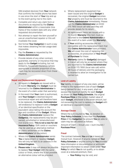SIM enabled devices) from **Your** network that confirms the mobile phone has been in use since the start of **Your** trip and up to the event giving rise to the claim.

- e. Complete and return any claim form or documents as required by the **Claims Administrator** within a reasonable time frame of the incident date with any other requested documentation.
- f. Not attempt to repair the item yourself or use an unauthorised repairer or this will invalidate the cover.
- g. Not format **Your Gadget(s)** in such a way that makes obtaining the last usage date impossible.
- h. Pay the **Excess** as requested by the **Claims Administrator**.
- i. Provide details of any other contract, guarantee, warranty or insurance that may apply to the **Gadget** including, but not limited to, household insurance (where appropriate a rateable proportion of the claim may be recovered direct from these insurers).

#### **Repair and Replacement Equipment**

- a. All repairs to **Gadgets** are issued with a 3-month **Warranty** (the **Gadget** must be returned to the **Claims Administrator** in the event of a claim under that warranty).
- b. In the event that **Your** claim is authorised, and **Your Gadget** is deemed beyond economical repair and will therefore have to be replaced, the **Claims Administrator**  will endeavour to replace it with a **Gadget** of an identical specification or the equivalent value taking into account the age and condition of the **Gadget**. Where the **Claims Administrator** replace the **Gadget(s)**, the replacements may be preowned, refurbished or remanufactured (not brand new). **This is not a new for old insurance Policy**. (Gift cards or vouchers may be used as an alternative method of claims settlement at the **Claims Administrators** full discretion).
- c. Where the **Claims Administrator** sends **You** a replacement or repaired **Gadget**, this will only be sent to an address in the **United Kingdom**.
- d. **Please note:** it may not always be possible to replace **Your Gadget** with the same colour or finish, where this is not possible an alternative colour will be provided.
- e. Where replacement equipment has been issued and the original **Gadget** is recovered, the original **Gadget** becomes **Our** property and must be returned to the **Claims Administrator** immediately. Please call the **Claims Administrator** on 0330 175 7850 (local call rate) and they will provide details for its return.
- f. All replacement items are issued with a 12-month **Warranty** (the item must be returned to the **Claims Administrator** in the event of a claim under the **Warranty**).
- g. If **Your** existing accessories are not compatible with the replacement item that the **Claims Administrator** have provided, **We** will cover the cost of replacing the accessories, on production of **Your Proof of Purchase** for these.
- h. **Warranty** claims for **Gadget(s)** damaged in transit will only be accepted where they are reported to the **Claims Administrator** on 0330 175 7850 (local rate call) within 48 hours of delivery and the packaging is retained to allow an investigation to be carried out.

#### **Limit of Liability**

**Our** liability, in respect of any one claim, will be limited to the replacement cost of each **Gadget** being claimed for and, in any event, shall not exceed the maximum liability for each **Gadget** as shown on **Your Policy Schedule**, the original **Purchase Price** or the current market value of each **Gadget**, whichever is the lesser amount, but not exceeding the cost to replace the **Gadget** with an identical or equivalent model.

#### **Average Clause**

Where the sum insured by **You**, as detailed on **Your Policy Schedule**, is less than the **Purchase Price** of the **Gadget(s)** the amount **You** are able to claim may be calculated as follows:

Amount of Claim = Actual Loss  $\times$  (sum insured / **Purchase Price**).

#### **Fraud**

The contract between **You** and **Us** is based on mutual trust. However, if anyone named on **Your Policy Schedule** or anyone acting for **You** provides false information or documentation or withholds important information to obtain cover under **Your Policy** for which **You** do not qualify, or to obtain cover at a reduced premium, then:

• **Your Policy** may be void; and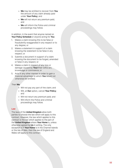- **We** may be entitled to recover from **You**  the amount of any claim already paid under **Your Policy**; and
- **We** will not return any premium paid; and
- **We** will inform the Police and criminal proceedings may follow.

In addition, in the event that anyone named on **Your Policy Schedule** or anyone acting for **You**:

- 1. Makes a claim knowing this to be false or fraudulently exaggerated in any respect or to any degree; or
- 2. Makes a statement in support of a claim knowing the statement to be false in any respect; or
- 3. Submits a document in support of a claim knowing the document to be forged, amended or false in any respect; or
- 4. Makes a claim in respect of any loss or damage caused by **Your**/their wilful act, knowledge or connivance; or
- 5. Acts in any other manner in order to gain a financial advantage to which **You** would not otherwise be entitled;

#### Then **We**

- Will not pay any part of the claim; and Will, at **Our** option, cancel **Your Policy**;
- and
- Will not return any premium paid; and<br>• Will inform the Police and criminal
- proceedings may follow.

#### **Law**

The laws of the **United Kingdom** allow both parties to choose the law which will apply to this contract. However, the law which applies to this contract is the law which applies to the part of the **United Kingdom** where **Your Home** is, unless otherwise agreed by **Us** in writing. The only exception is if **Your Home** is in the Channel Islands or the Isle of Man, then the law of England and Wales will apply to this contract.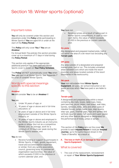# Section 18: Winter sports (optional)

## Important notes

**You** will only be covered under this section and elsewhere under this **Policy** while participating in Winter Sports if **You** are aged 64 or under at the start of the **Policy Period**.

This **Policy** will only cover **You** if **You** are an **Amateur**.

For Annual Multi-Trip policies this section provides cover up to a maximum of 17 days in total during the **Policy Period**.

This section only applies if the appropriate additional premium has been paid and Winter Sports cover is shown on **Your Policy Schedule**.

The **Policy** will NOT automatically cover **You** when **You** take part in all Winter Sports. See "Appendix 1" for a list of covered Winter Sports.

## Words with special meanings specific to this section

#### **Amateur**

**We** will consider **You** to be an **Amateur** if:

#### **You** are:

- Under 16 years of age; or
- 16 years of age or above and in full-time education; or
- 16 years of age or above and in full-time employment outside of the Winter Sports industry; or
- 16 years of age or above and employed in the Winter Sports industry as an instructor, guide or similar (but not as a competitive athlete) and, on average, work for a minimum of 25 hours per week during the Winter Sports season; and

## **You** do not:

• Receive funding or support to participate in Winter Sports, in cash, goods, equipment, travel and accommodation expenses or similar, from any sports association, council, governing body or commercial organisation (sponsorship), the value of which exceeds £1,000 in the previous or current calendar year; and

#### **You** have not:

• Received prizes as a result of taking part in Winter Sports competitions, in cash or noncash items, the value of which exceeds £1,000 in the previous or current calendar year.

#### **On-piste**

Any designated and prepared marked piste, trail or run within the area of a ski-resort but excluding any **Terrain-park**.

#### **Off-piste**

Any area outside of a designated and prepared marked piste, trail or run. This includes unmarked areas between runs which are inside the resort boundary and areas located outside of the resort boundaries in the backcountry.

#### **Ski-pack**

**Your** non-refundable hired **Winter Sports Equipment**, ski-pass, ski-school instruction or skiguide services which **You** have paid or are liable to pay.

#### **Terrain-park**

A designated and prepared area within a resort containing jibs (rails, boxes, table-tops, trees, park benches, picnic tables, mail boxes, wall rides, barrels, rainbows, kinks, jams and other types of rideable fixture), jumps (table-tops, step-downs, step-ups, gaps, channel gaps, hips and spines) and verticals (quarter-pipes, half-pipes and super-pipes) and any other feature designed or designated for the performance of tricks, jumps or aerials.

This section of the **Policy** sets out the cover **We** provide to each **Insured Person** in total per **Insured Journey**, up to the sums insured shown in the "Table of Benefits" as a result of:

**A. The loss or theft of, or damage to Your Winter Sports Equipment.**

## What is covered

1. The cost of the replacement, reinstatement or repair of **Your Winter Sports Equipment**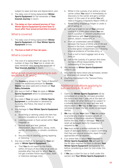subject to wear and tear and depreciation; and

- 2. The daily cost of hiring replacement **Winter Sports Equipment** for the remainder of **Your Insured Journey** in resort.
- **B. The delay on Your outward journey of Your Winter Sports Equipment by more than 12 hours after Your actual arrival time in resort.**

# What is covered

- 1. The daily cost of hiring replacement **Winter Sports Equipment** until **Your Winter Sports Equipment** arrives.
- **C. The loss or theft of Your ski-pass.**

## What is covered

1. The cost of a replacement ski-pass for the number of days that **Your** lost or stolen skipass remained valid during the remainder of **Your Insured Journey** in resort.

## What is not covered applying to subsections A., B. and C.

- 1. The **Excess** as shown in the "Table of Benefits", unless the additional premium for **Excess Waiver** has been paid and is shown on **Your Policy Schedule**.
- 2. Any loss or theft of **Your** ski-pass or **Winter Sports Equipment** which is subsequently recovered.
- 3. Any claim if **Your** ski-pass or **Winter Sports Equipment** is confiscated or detained by Customs, the Police, the resort or other authorities.
- 4. Any damage to **Your Winter Sports Equipment** due to:
	- a. Scratching or denting unless the item has become unusable as a result of this; or
	- b. Leaking powder or fluid carried within **Your** baggage; or
	- c. Normal wear and tear, gradual deterioration, depreciation, decay, moth, vermin, atmospheric or climatic conditions; or
	- d. Any process of cleaning, dyeing repairing or restoring.
- 5. Any loss or theft of, or damage to, **Your** skipass or **Winter Sports Equipment**:
	- a. That **You** do not report to the Police within 24 hours of discovery or as soon as possible after that and for which **You** do not get a written Police report (loss, theft or malicious damage only);
- b. Whilst in the custody of an airline or other carrier unless **You** report it immediately on discovery to the carrier and get a written report. In the case of an airline **You** will need a Property Irregularity Report (PIR); or
- c. Whilst being shipped as freight or under a bill of lading; or
- d. Left out of sight or out of **Your** personal control in a public place where **You** are not in a position to prevent unauthorised interference with **Your** property e.g. station, airport, restaurant; or
- e. From an unattended vehicle unless between the hours of 09:00 and 21:00 and locked in the boot, covered luggage area or locked glove compartment and following physical evidence of forcible entry; or
- f. From a roof or boot luggage rack at any time; or
- g. Left in the custody of a person who does not have official responsibility for the safekeeping of the property.
- 6. Any damage to **Winter Sports Equipment** whilst in use.
- 7. Any claim for items which are borrowed, rented or otherwise not owned by **You**.
- 8. Anything mentioned in the "General Policy Exclusions".

## Additional conditions applying to sub-sections A., B. and C.

- 1. Claims for **Winter Sports Equipment** will be considered on a new for old basis provided the item is less than 1 year old at the date of the incident. All other items will be subject to a suitable deduction for wear and tear and depreciation or **We** may at **Our** option replace, reinstate or repair the lost, stolen or damaged item(s).
- 2. **We** may not pay **Your** claim if **You** are unable to provide any original receipts, proofs of purchase or insurance valuations (issued before the loss, theft or damage). **You** must retain all damaged items for inspection, if required by **Us**.
- 3. **You** must obtain a written estimate for the repair of damaged items or a report confirming that they are beyond economic repair from an appropriate official repairer.
- 4. If an airline fails to return **Your** checked-in **Winter Sports Equipment**, **We** will wait for the 60 days required by them to declare **Your Winter Sports Equipment** permanently lost, before considering a claim for loss under this section.
- 5. If **We** pay a claim for loss or theft under this section and **Your Winter Sports Equipment** is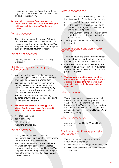subsequently recovered, **You** will repay to **Us** any compensation **You** received from **Us** within 14 days of the recovery.

**D. You being prevented from taking part in Winter Sports as a result of Your Bodily Injury or Illness sustained during Your Insured Journey.**

# What is covered

1. The cost of the proportion of **Your Ski-pack**, for which **You** have paid or are contracted to pay, corresponding to the period in which **You** are prevented from taking part in Winter Sports during **Your Insured Journey** in resort.

## What is not covered

1. Anything mentioned in the "General Policy Exclusions".

## Additional conditions applying to sub-section D.

- 1. **Your** claim will be based on the number of complete days of **Your** trip in resort that **You** are unable to participate in Winter Sports.
- 2. **You** must get written confirmation from the treating **Medical Practitioner** in the resort of the nature of **Your Illness** or **Bodily Injury** and the period in which **You** were unable to participate in Winter Sports.
- 3. **You** must provide **Us** with documentary evidence showing the nature, dates and costs of **Your** pre-paid **Ski-pack**.

#### **E. You being prevented from taking part in Winter Sports at Your resort for a period in excess of 12 hours as a result of:**

- 1. Not enough snow; or
- 2. Too much snow; or
- 3. Adverse weather; or
- 4. Avalanche or landslide.

## What is covered

- 1. A daily amount to cover the cost of transporting **You** to an alternative resort where there are adequate snow conditions; or
- 2. The cost of the proportion of **Your Ski-pack**, for which **You** have paid or are contracted to pay, corresponding to the period in which **You** are prevented from taking part in Winter Sports during the scheduled period of **Your Insured Journey** in resort.

# What is not covered

- 1. Any claim as a result of **You** being prevented from taking part in Winter Sports at a resort:
	- a. Less than 1,000m above sea level; or
	- b. In the Northern Hemisphere, outside of the period starting on 15th December and ending on 15th April; or
	- c. In the Southern Hemisphere, outside of the period starting on 15th June and ending on 15th October.
- 2. Anything mentioned in the "General Policy Exclusions".

## Additional conditions applying to sub-section E.

- 1. **You** must obtain and provide **Us** with written evidence from the resort authorities showing the reason for and dates of the closure.
- 2. If **You** claim for **Your** unused **Ski-pack**, **You** must provide **Us** with documentary evidence showing the nature, dates and costs of **Your** pre-paid **Ski-pack**.
- **F. You being prevented from arriving at, or departing from, Your pre-booked resort for a period in excess of 12 hours later than scheduled as a result of an avalanche or landslide.**

# What is covered

1. **Your** reasonable and necessary additional travel and accommodation expenses (room only) of a similar standard to the original booking, to allow **You** to reach **Your** resort on the outward journey or to catch up on **Your** scheduled itinerary or to return **Home** on **Your** homeward journey.

## What is not covered

1. Anything mentioned in the "General Policy Exclusions".

## Additional conditions applying to sub-section F.

- 1. **You** will be required to provide **Us** with documentary evidence of:
	- a. The reason for and length of the delay; and
	- b. **Your** additional travel and accommodation expenses.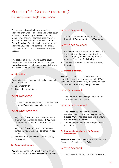# Section 19: Cruise (optional)

# Only available on Single-Trip policies

This section only applies if the appropriate additional premium has been paid and Cruise cover is shown on **Your Policy Schedule**. In addition to the covers shown as standard under the level of cover **You** have selected as shown on **Your Policy Schedule**, **You** will also be covered for the additional Cruise specific benefits listed below. This optional section is only available for Single-Trip policies.

This section of the **Policy** sets out the cover **We** provide to each **Insured Person** in total per **Insured Journey**, up to the sums insured shown in the "Table of Benefits" as a result of:

## **A. Missed Port.**

**Your** cruise ship being unable to make a scheduled port stop due to:

- 1. Bad weather; or
- 2. Time-table restrictions.

# What is covered

1. A missed port benefit for each scheduled port at which **Your** cruise ship failed to stop.

# What is not covered

- 1. Any claim if **Your** cruise ship stopped at an alternative unscheduled port or if **You** were offered financial compensation, including onboard credit.
- 2. Any claim if **Your** cruise ship's scheduled tender service was unable to transport **You** ashore.
- 3. Anything mentioned in the "General Policy Exclusions".

## **B. Cabin confinement.**

**You** being confined to **Your** cabin by the ship's medical officer due to **Your Bodily Injury** or **Illness**.

## What is covered

1. A cabin confinement benefit for each 24 hours that **You** are confined to **Your** cabin.

# What is not covered

- 1. Cabin confinement benefit if **You** also claim for Hospital confinement benefit within the "Emergency medical and repatriation expenses" section of this **Policy**.
- 2. Anything mentioned in the "General Policy Exclusions".

## **C. Missed excursion.**

**You** being unable to participate in any prebooked, pre paid excursions as a result of **Your** confinement to **Your** cabin by the ship's medical officer due to **Your Bodily Injury** or **Illness**.

# What is covered

1. The cost of the excursion(s) in which **You** were unable to participate.

## What is not covered

- 1. The **Excess** as shown in the "Table of Benefits", unless the additional premium for **Excess Waiver** has been paid and is shown on **Your Policy Schedule**.
- 2. Anything mentioned in the "General Policy Exclusions".
- **D. Increased sums insured for Personal Possessions.**

**Personal Possessions** claims under the "Personal Possessions" section of this **Policy**.

# What is covered

1. An increase in the sums insured for **Personal**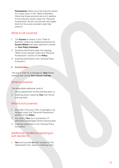**Possessions** claims up to the amounts shown for Cruise cover in the "Table of Benefits". (Note that these amounts are not in addition to the amounts shown under the "Personal Possessions" section but are the new higher limits for the cover provided under that section.)

# What is not covered

- 1. The **Excess** as shown in the "Table of Benefits", unless the additional premium for **Excess Waiver** has been paid and is shown on **Your Policy Schedule**.
- 2. Anything mentioned under the heading "What is not covered" within the "Personal Possessions" section of this **Policy**.
- 3. Anything mentioned in the "General Policy Exclusions".

## **E. Evening Wear.**

The loss or theft of, or damage to, **Your** formal evening wear during **Your Insured Journey**.

# What is covered

The reasonable additional costs of

- 1. Hiring replacement formal evening wear; or
- 2. Cleaning and/or repairing **Your** own formal evening wear.

# What is not covered

- 1. Any claim if the loss, theft or damage is not covered under the "Personal Possessions" section of this **Policy**.
- 2. Any claim if **You** are in possession of alternative undamaged formal evening wear.
- 3. Anything mentioned in the "General Policy Exclusions".

# Additional conditions applying to sub-section E.

1. **You** must provide **Us** with receipts for the replacement hire, repair or cleaning costs.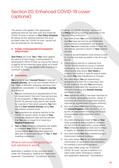# Section 20: Enhanced COVID-19 cover (optional)

This section only applies if the appropriate additional premium has been paid and Enhanced COVID-19 cover is shown on **Your Policy Schedule**. By taking out this optional extension the cover provided under the "COVID-19 cover" section will also be extended for the following:

#### **A. Foreign, Commonwealth & Development Office (FCDO)**

**Your Policy** will cover **You** if **You** travel against the advice of the Foreign, Commonwealth & Development Office (FCDO) as long as the advice is against all but essential travel solely as a result of COVID-19. This only applies when travelling to countries in Europe.

## **B. Cancellation**

**We** provide to each **Insured Person** in total per **Insured Journey**, up to the sum insured shown in the "Table of Benefits", following necessary and unavoidable cancellation of an **Insured Journey**  as a result of:

- 1. **You** are contacted by a representative of the UK Government's Test and Trace service due to the probability of **You** having contracted COVID-19, and are instructed to self-isolate for a period of time which prevents **You** from starting **Your Insured Journey** using **Your** pre-booked outward travel.
- 2. **You** experience an adverse reaction to the COVID-19 vaccine within 14 days of **Your** scheduled departure date and are advised that **You** are no longer fit to travel by a **Medical Practitioner**.
- 3. **You**, or **Your** travelling companion are unable to complete **Your** COVID-19 vaccination course before **Your** scheduled departure date due to unforeseen illness of **You** or **Your** travelling companion.

# What is not covered applying to sub-sections A. and B.

Applicable in addition to any exclusion listed under the "Emergency medical and repatriation expenses", "Cancellation", "Curtailment and loss of holiday" or "COVID-19 cover" sections of this **Policy** including anything mentioned in the "General Policy Exclusions":

- 1. Any claim where **You** contract COVID-19 and **You** have not had the recommended vaccination(s) (consideration will be given where **You** were medically unable to have the vaccination, and this is shown in **Your** medical records).
- 2. Travel or accommodation costs where a credit or voucher has been provided in lieu of a cash refund.
- 3. Claims arising directly or indirectly from COVID-19 that results in a local or national lockdown or any restrictions of movement affecting the area where **Your Home** is located, the country or specific area or event to which **You** were travelling to or through.
- 4. Any claim where **You** are experiencing symptoms of COVID-19, or have been told to self-isolate at the time **You** purchased, renewed or extended this insurance, or at the time of booking any **Insured Journey**, whichever is later.
- 5. **Your** quarantine when it has been imposed on a community, geographic location, vessel, or travellers returning from a specified location, imposed by a government or public authority.
- 6. Any claim where **You** have not returned to the **United Kingdom** when advised to do so by the UK Government including the Foreign, Commonwealth & Development Office (FCDO).
- 7. Any claim arising as a result of **You**, or **Your** travel companion being unable to complete the full COVID-19 vaccination course before **Your** scheduled departure date due to delays in supply, or changes in Government policy.
- 8. Any claim where **You** have travelled during a Government imposed lockdown.
- 9. Any claim where **You** do not hold the required confirmation of vaccination documentation, for example a vaccination passport.
- 10. Any claim made under the "Enhanced COVID-19 cover" section in addition to a claim under either "Emergency medical and repatriation expenses", "Cancellation",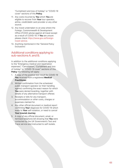"Curtailment and loss of holiday" or "COVID-19 cover" sections of this **Policy** .

- 11. Any costs incurred by **You** which **You** are eligible to recover from **Your** tour operator, airline, credit/debit card provider or any other source.
- 12. Any travel undertaken to an area where the Foreign, Commonwealth & Development Office (FCDO) advise against all travel except as a result of COVID-19. If **You** are unsure please check [https://www.gov.uk/foreign](https://www.gov.uk/foreign-travel-advice)[travel-advice.](https://www.gov.uk/foreign-travel-advice)
- 13. Anything mentioned in the "General Policy Exclusions".

# Additional conditions applying to sub-sections A. and B.

In addition to the additional conditions applying to the "Emergency medical and repatriation expenses", "Cancellation", "Curtailment and loss of holiday" or "COVID-19 cover" sections of this **Policy** the following will apply:

- 1. A copy of the positive test result for COVID-19 **You** received from a registered **Medical Practitioner** .
- 2. Written confirmation from the scheduled public transport operator (or their handling agents) confirming the exact reason for which **You** were denied boarding, together with details of any alternative transport offered.
- 3. Receipts or bills for any transport, accommodation or other costs, charges or expenses claimed for.
- 4. Any other official document or medical report confirming **Your** diagnosis for COVID-19 which leads to **Your** self-isolation, or need to cancel **Your Insured Journey** .
- 5. A copy of any official document, email, or itemised telephone bill showing that **You** were contacted by the UK Government's Test and Trace service and instructed to self-isolate.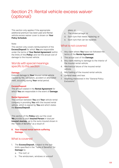# Section 21: Rental vehicle excess waiver (optional)

This section only applies if the appropriate additional premium has been paid and Rental vehicle excess waiver cover is shown on **Your Policy Schedule**.

#### Note:

This section only covers reimbursement of the **Excess/Deposit** for which **You** are responsible under the terms of **Your Rental Agreement** (within the limits of this **Policy**) and not the actual cost of damage to the insured vehicle.

## Words with special meanings specific to this section

#### **Damage**

External damage to **Your** insured rental vehicle caused by fire, vandalism, accident or attempted theft, occurring during **Your** rental period.

#### **Excess/Deposit**

The amount stated in the **Rental Agreement** for which **You** are responsible in the event of **Damage**.

#### **Rental Agreement**

The contract between **You** and **Your** vehicle rental company in providing **You** with the insured rental vehicle, which is signed by **You** and which states the **Excess/Deposit**.

This section of the **Policy** sets out the cover **We** provide to each **Insured Person** in total per **Insured Journey**, up to the sums insured shown in the "Table of Benefits" as a result of:

#### **A. Your insured rental vehicle suffering Damage.**

## What is covered

### 1. The **Excess/Deposit**, subject to the sublimits specified in the "Table of Benefits" for **Damage** to:

- a. The roof; or
- b. The windscreen, windows or sunroof

glass; or

- c. The undercarriage; or
- d. Each tyre that needs replacing; or
- e. Each tyre that can be repaired.

## What is not covered

- 1. Any claim where **You** have not followed the terms of the **Rental Agreement**.
- 2. The actual cost of the **Damage**.
- 3. Any claim relating to damage to the interior of the insured rental vehicle.
- 4. Mechanical failure of the insured rental vehicle.
- 5. Mis-fuelling of the insured rental vehicle.
- 6. General wear and tear.
- 7. Anything mentioned in the "General Policy Exclusions".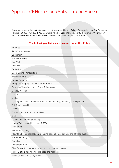# Appendix 1: Hazardous Activities and Sports

Below are lists of activities that can or cannot be covered by this **Policy**. Please telephone **Our** Customer Helpline on 0330 175 8283 if **You** are unsure whether **Your** intended activity is covered by **Your Policy**. For all **Hazardous Activities and Sports**, participation in competition is excluded.

| The following activities are covered under this Policy                              |
|-------------------------------------------------------------------------------------|
| Aerobics                                                                            |
| Athletics (amateur)                                                                 |
| Badminton                                                                           |
| Banana Boating                                                                      |
| Bar Work                                                                            |
| Baseball                                                                            |
| Basketball                                                                          |
| Board Sailing (Windsurfing)                                                         |
| <b>Body Boarding</b>                                                                |
| Boogie Boarding                                                                     |
| Bridge Walking e.g. Sydney Harbour Bridge                                           |
| Canoeing/Kayaking - up to Grade 2 rivers only                                       |
| Canopy Walking                                                                      |
| Cricket                                                                             |
| Curling                                                                             |
| Cycling (not main purpose of trip - recreational only, no racing or competitions)   |
| Fell Running/Walking                                                                |
| Fishing                                                                             |
| Football/Soccer (non competitive)                                                   |
| Golf                                                                                |
| Gymnastics (no competitions)                                                        |
| Hiking/Trekking/Walking under 2,500m                                                |
| Ice Skating                                                                         |
| Marathon Running                                                                    |
| Mountain Biking (recreational including general cross country and off road cycling) |
| Paddle Boarding                                                                     |
| Rambling                                                                            |
| Restaurant Work                                                                     |
| River Tubing (up to grade 2 rivers and not through caves)                           |
| Roller Skating/Blading (wearing pads and helmets)                                   |
| Safari (professionally organised tour)                                              |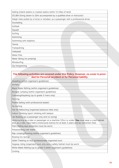| SCUBA Diving (down to 30m accompanied by a qualified diver or instructor)             |  |                                                                   |  |  |  |
|---------------------------------------------------------------------------------------|--|-------------------------------------------------------------------|--|--|--|
| Sleigh rides pulled by a horse or reindeer, as a passenger with a professional driver |  |                                                                   |  |  |  |
|                                                                                       |  |                                                                   |  |  |  |
|                                                                                       |  |                                                                   |  |  |  |
|                                                                                       |  |                                                                   |  |  |  |
|                                                                                       |  |                                                                   |  |  |  |
|                                                                                       |  |                                                                   |  |  |  |
|                                                                                       |  |                                                                   |  |  |  |
|                                                                                       |  |                                                                   |  |  |  |
|                                                                                       |  |                                                                   |  |  |  |
|                                                                                       |  |                                                                   |  |  |  |
|                                                                                       |  |                                                                   |  |  |  |
|                                                                                       |  |                                                                   |  |  |  |
|                                                                                       |  |                                                                   |  |  |  |
|                                                                                       |  |                                                                   |  |  |  |
|                                                                                       |  | Sailing (inland waters or coastal waters within 12 miles of land) |  |  |  |

# **The following activities are covered under this Policy. However, no cover is provided for Personal accident or for Personal liability.**

Abseiling (within organiser's guidelines)

Archery

Black Water Rafting (within organiser's guidelines)

Bungee Jumping (within organiser's guidelines)

Canoeing/Kayaking (up to grade 3 rivers only)

Fencing

Flotilla Sailing (with professional leader)

Go Karting

Hot Air Ballooning (organised pleasure rides only)

Indoor Climbing (sport climbing with belays)

Jet Boating (as a passenger only and no racing)

Motorcycling as a rider or passenger on a machine 125cc or under (**You** must wear a crash helmet and, as a rider, have held a motorcycle licence for at least 3 years and be conviction free)

Paint Balling (eye protection must be worn)

Parascending over water

Rap Jumping/Running (within organiser's guidelines)

Rowing (no racing)

Safari Trekking on foot (professionally organised tour)

Segway riding (organised tours only and a safety helmet must be worn)

White Water Rafting (up to grade 3 within organiser's guidelines)

Zorbing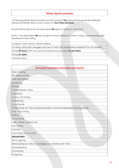# **Winter Sports activities**

The following Winter Sports activities are only covered if **You** have paid the appropriate additional premium and Winter Sports cover is shown on **Your Policy Schedule**.

All other Winter Sports are excluded unless **We** agree, in writing, to cover them.

NOTE: in the table below, **We** use the generic terms "ski/skiing" to refer to skiing, snow-boarding, splitboarding and mono-skiing.

Langlauf / cross country / Nordic walking

Sit-skiing, skiing with outriggers and use of other (non-mechanised) equipment for the disabled

Skiing **Off-piste** within the resort boundaries but excluding **Terrain Parks**

Skiing **On-piste**

Telemark skiing

| <b>Excluded Hazardous Activities and Sports</b>                                    |  |
|------------------------------------------------------------------------------------|--|
| <b>Base Jumping</b>                                                                |  |
| <b>Big Game Hunting</b>                                                            |  |
| <b>BMX Stunt Riding</b>                                                            |  |
| <b>Bouldering</b>                                                                  |  |
| Boxing                                                                             |  |
| Camel/Elephant riding                                                              |  |
| Canyoning                                                                          |  |
| Caving / Pot Holing                                                                |  |
| Coasteering                                                                        |  |
| <b>Cycle Racing</b>                                                                |  |
| Flying except as a fare paying passenger in a licenced passenger carrying aircraft |  |
| Free / High Diving                                                                 |  |
| Gliding                                                                            |  |
| <b>Hang Gliding</b>                                                                |  |
| Judo / Karate / Martial Arts                                                       |  |
| Kite Surfing                                                                       |  |
| Lacrosse                                                                           |  |
| Land Skiing (not on snow)                                                          |  |
| <b>Manual Work</b>                                                                 |  |
| Micro Lighting                                                                     |  |
| Motorcycling as a rider or passenger on a machine over 125cc                       |  |
| Mountaineering                                                                     |  |
| Parachuting                                                                        |  |
| Paragliding                                                                        |  |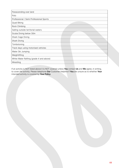| Parascending over land                  |  |
|-----------------------------------------|--|
| Polo                                    |  |
| Professional / Semi Professional Sports |  |
| Quad Biking                             |  |
| Rock Climbing                           |  |
| Sailing outside territorial waters      |  |
| Scuba Diving below 30m                  |  |
| Shark Cage Diving                       |  |
| Shark Diving                            |  |
| Tombstoning                             |  |
| Track days using motorised vehicles     |  |
| Water Ski Jumping                       |  |
| Weightlifting                           |  |
| White Water Rafting (grade 4 and above) |  |
| Wrestling                               |  |

If an activity is NOT listed above it is NOT covered unless **You** contact **Us** and **We** agree, in writing, to cover the activity. Please telephone **Our** Customer Helpline if **You** are unsure as to whether **Your**  intended activity is covered by **Your Policy**.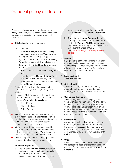# General policy exclusions

These exclusions apply to all sections of **Your Policy**. In addition, individual sections of cover may have specific exclusions which apply only to those sections.

**A.** This **Policy** does not provide cover:

- 1. Unless **You** are:
	- a. In the **United Kingdom** when the **Policy** is purchased (except when **You** renew an existing Annual Multi-Trip policy); and
	- b. Aged 80 or under at the start of the **Policy Period** for Annual Multi-Trip policies; and
	- c. Resident in the **United Kingdom**, meaning that **You**:
		- Have an address in the **United Kingdom;** and
		- Have lived in the **United Kingdom** for at least 6 of the last 12 months; and
		- Are registered with a General Practitioner in the **United Kingdom**.
- 2. For Single-Trip policies, the maximum trip duration is 90 days unless agreed by **Us** in writing.
- 3. For Annual Multi-Trip policies, the maximum duration of cover available, unless otherwise shown on **Your Policy Schedule**, is:
	- Red 31 days
	- Silver 45 days
	- Gold 94 days
- **B. We** will not pay for any losses that are not directly associated with the **Insurance Event** causing the claim, for example loss of earnings if **You** are unable to work or the cost of replacing locks if **You** lose keys.
- **C. We** will not pay for any losses recoverable from any other source. Where another insurance policy covers the same risk, **We** will only pay **Our** proportionate share of a valid claim.
- **D. We** will not pay for any loss, damage, cost or expense directly or indirectly caused by:

#### 1. **Active Participation:**

a. The act of an **Insured Person**, whether a combatant or non-combatant, supplying, transporting, or otherwise handling facilities, equipment, devices, vehicles,

weapons, or other materials intended for use in **War and Civil Unrest** or **Terrorism**; or

b. The act of an **Insured Person** voluntarily entering an area known at the time to be subject to **War and Civil Unrest** or against the advice of the Foreign, Commonwealth & Development Office (FCDO). See: [https://www.gov.uk/foreign-travel](https://www.gov.uk/foreign-travel-advice)[advice](https://www.gov.uk/foreign-travel-advice)

#### 2. **Aviation**

Flying or aerial activity of any kind other than as a fare-paying passenger in a fully licensed commercial passenger-carrying aircraft, unless otherwise shown as covered in "Appendix 1: Hazardous Activities and Sports".

#### 3. **Business travel** Any **Business Trip**.

#### 4. **Civil authorities**

The confiscation, retention, impounding or destruction of property by any Customs authority, Government or other civil authority.

#### 5. **Climbing and jumping**

**You** climbing on top of, or jumping from a vehicle, or jumping from a building or balcony; or climbing or moving from any external part of any building to another (apart from on an external fire-escape or stairs) regardless of the height, unless **Your** life is in danger or **You** are attempting to save human life.

#### 6. **Coronavirus**

Any coronavirus including but not limited to COVID-19, or any related/mutated form of the virus. This exclusion does not apply to COVID-19 claims under the "COVID-19 cover" or "Enhanced COVID-19 cover" sections of this **Policy**.

### 7. **Cruises**

Any trip on sea-going Cruise-ships unless the appropriate additional premium has been paid and Cruise cover is shown on **Your Policy Schedule**.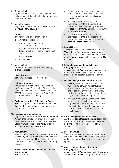## 8. **Cyber-attack**

**Cyber-attack** including but not limited to the delay or cancellation of flights due to the failure of critical systems.

## 9. **Decompression**

Any medical consequences of flying less than 24 hours after a scuba dive.

## 10. **Default**

The negligence, error or omission of:

- a. An **Insured Person**; or
- b. Any provider of transport or accommodation; or
- c. Any agent or online booking service through which travel arrangements were made; or
- d. Any **Colleague**; or
- e. Any **Relative**.

## 11. **Depreciation**

Depreciation, wear and tear and currency exchange losses.

## 12. **Disinclination**

**Your** unwillingness or refusal to travel.

## 13. **Epidemic/Pandemic**

Any epidemic or pandemic as declared by the World Health Organisation. This exclusion does not apply to COVID-19 claims under the "COVID-19 cover" or "Enhanced COVID-19 cover" sections of this **Policy**.

14. **Excluded Hazardous Activities and Sports Your** participation in **Hazardous Activities and Sports** which are excluded or not shown as covered in "Appendix 1".

## 15. **Foreseeable circumstances**

Any circumstances, such as **Strike or Industrial Action,** that were known or could reasonably have been anticipated at the time an **Insured Journey** was booked or the **Policy** or cover was purchased, whichever is later.

## 16. **Manual work**

Manual work involving the operation of plant or machinery, the use of power tools or any work above or below ground level (except for work at floor level in a fully-constructed multi-storey building).

17. **Failure to take medical precautions, advice and treatment**

**Your** failure to:

- a. Obtain any recommended vaccinations, inoculations or preventative medications in a timely manner before an **Insured Journey**; or
- b. Follow the medical advice, accept the treatment or take the prescribed medication recommended by a General Practitioner or Consultant, prior to or during an **Insured Journey**; or
- c. Follow the medical advice, accept the treatment or take the prescribed medication recommended by a treating **Medical Practitioner** abroad.

## 18. **Mental Illness**

**Your** psychological or psychiatric disorder or **You** suffering from any condition of anxiety, stress or depression diagnosed before the start of an **Insured Journey** unless accepted by **Us** in writing.

#### 19. **Failure to wear a motorcycle helmet Bodily Injury** or death occurring as a

consequence of **You** not wearing a recognised motorcycle helmet while on a motorcycle, moped, motor-scooter, quadbike or similar.

## 20. **Nuclear, biological and chemical hazards**

- a. Ionising radiation or contamination by radioactivity from any nuclear fuel or any nuclear waste from the combustion of nuclear fuel, or the radioactive, toxic, explosive or other hazardous properties of any nuclear machinery or parts; or
- b. The use of nuclear, biological or chemical weapons, or contamination, poisoning, or prevention and/or limitation of the use of objects due to the effects of nuclear, chemical, biological and/or radioactive substances.

#### 21. **Pre-existing Medical Condition(s)** Any **Pre-existing Medical Condition(s)** unless the appropriate additional premium has been paid and they have been accepted by **Us** in writing.

## 22. **Pressure waves**

The transmission of an energy pulse through the atmosphere caused by aircraft and other aerial devices travelling at sonic or supersonic speeds.

#### 23. **Safety equipment and instructions Bodily Injury** or death occurring as a consequence of **You** participating in **Hazardous Activities and Sports** arising from **Your** failure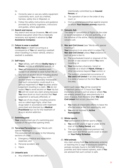- to:
- a. Correctly wear or use any safety equipment customarily worn, such as a helmet, harness, safety line or lifejacket; or
- b. Follow the safety instructions and guidance provided by activity organisers, instructors and guides, where applicable.

#### 24. **Search and rescue**

Any search and rescue (however, **We** will cover medical evacuation when this is medically necessary and agreed in advance by **Our Assistance Company**).

## 25. **Failure to wear a seatbelt**

**Bodily Injury** or death occurring as a consequence of **You** not wearing a seatbelt when travelling in a motor vehicle, where a seatbelt is available.

## 26. **Self-Injury**

- a. **Your** wilfully, self-inflicted **Bodily Injury** or **Illness**, suicide or attempted suicide; or
- b. **Your** self-exposure to needless peril, except in an attempt to save human life; or
- c. Any form of alcohol abuse including alcohol withdrawal or **You** drinking too much alcohol where it is reasonably foreseeable that such consumption could result in a serious impairment of **Your** faculties and/or judgement resulting in a claim. (**We** do not expect **You** to avoid alcohol on **Your** trip but **We** will not cover any claim arising because **You** have drunk so much alcohol that **Your** judgement is seriously affected); or
- d. **Your** use of any drugs, including solvents and so-called legal highs, other than drugs taken in accordance with treatment prescribed and directed by a **Medical Practitioner** but not for the treatment of drug or alcohol addiction.

## 27. **Swimming pool**

**Your** unauthorised use of a swimming pool outside of the specified opening times.

28. **Terrorism/Terrorist Act** (see "Words with special meanings")

This exclusion will not apply to the following sections of cover:

- a. Emergency medical and repatriation expenses; and
- b. Personal accident; and
- c. Hijack.

## 29. **Unlawful acts**

a. Any unlawful act deliberately or

intentionally committed by an **Insured Person**; or

- b. The operation of law or the order of any court; or
- c. Civil or criminal proceedings against anyone on whom **Your Insured Journey** depends.

### 30. **Volcanic Ash**

The delay or cancellation of flights on the order or recommendation of any civil authority, or at the initiative of the airline, due to atmospheric volcanic ash.

31. **War and Civil Unrest** (see "Words with special meanings")

**Your** presence in an area which is subject to **War and Civil Unrest** unless **Your** presence in such an area is due to:

- a. The unscheduled transit or stopover of the aircraft or sea vessel in which **You** were travelling; or
- b. **Your** involuntary diversion, transit or stopover as a result of **Hijack, Kidnap** or other occurrence beyond **Your** control; or
- c. The sudden, unexpected occurrence of **War and Civil Unrest** in an area previously in a state of peace at the time **You** entered the area;

and in such cases **You** will be covered for a maximum period of 72 hours from **Your**  involuntary arrival in such an area or, where **You** are already present in an area previously in a state of peace, from the time when **War and Civil Unrest** first occurs, provided that:

- a. **You** make all reasonable efforts to leave the affected area at the first opportunity; and
- b. **You** are not involved in **Active Participation**.

## 32. **Winter sports**

Your participation in Winter sports unless:

- a. **You** were 64 years of age or under at the start of the **Policy Period**; and
- b. The appropriate additional premium has been paid and Winter sports cover is shown on **Your Policy Schedule**.

## 33. **Wild animals**

Any claim arising from **You** deliberately entering or reaching into a cage or enclosure containing animals normally found in the wild, including juveniles and hand-reared orphans, even if **You** are advised that such contact is safe.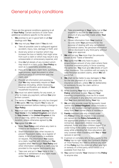# General policy conditions

These are the general conditions applying to all of **Your Policy**. Certain sections of cover have additional conditions specific to the section.

- 1. **We** promise to act in good faith in all **Our**  dealings with **You**.
- 2. **We** may not pay **Your** claim if **You** do not:
	- a. Take all possible care to safeguard against accident, injury, loss, damage or theft; and
	- b. Avoid any action or inaction which may increase the loss or liability that might arise from such a claim or which may result in any unreasonable or unnecessary expense; and
	- c. Give **Us** full details of any incident which may result in a claim under **Your Policy** as soon as is reasonably possible; and
	- d. Pass on to **Us** every claim form, summons, legal process, legal document or other communication in connection with the claim; and
	- e. Provide all information and assistance that **We** may reasonably require at **Your** expense (including, where necessary, medical certification and details of **Your**  household insurance).
- 3. **You** must not admit liability for any event, or offer to make any payment, without **Our** prior written consent.
- 4. The terms of **Your Policy** can only be changed if **We** agree. **We** may require **You** to pay an additional premium before making a change to **Your Policy**.
- 5. **You** must start each **Insured Journey** from **Your Home** in the **United Kingdom** and return to **Your Home** in the **United Kingdom** at the end of each trip, within the permitted trip duration, unless otherwise agreed by **Us**.
- 6. **You** agree that **We** can:
	- a. Make **Your Policy** void where any claim is found to be fraudulent; and
	- b. Share information with other insurers to prevent fraudulent claims via a register of claims. A list of participants is available on request. Any information **You** supply on a claim, together with information **You**  supplied when **You** bought **Your Policy** and other information relating to a claim, may be provided to the register participants; and
	- c. Take over and act in **Your** name in the defence or settlement of any claim made under **Your Policy**; and
- d. Take proceedings in **Your** name but at **Our**  expense to recover for **Our** benefit the amount of any payment made under **Your Policy**; and
- e. Obtain information from **Your** medical records (with **Your** permission) for the purpose of dealing with any cancellation or medical claims. No personal information will be disclosed to any third party without **Your** prior approval.
- 7. **We** will not pay **You** more than the amounts shown in the "Table of Benefits".
- 8. **You** agree that **We** only have to pay a proportionate amount of any claim where there is another insurance policy in force covering the same risk. **You** must give **Us** details of such other insurance. This condition will not apply to valid Personal accident claims, which **We** will pay in full.
- 9. **We** shall not be liable to pay damages to **You**  for the late payment of a claim under this insurance contract, unless **We** fail deliberately or recklessly to pay the claim within a reasonable time.
- 10. When booking **Your** trip or purchasing this **Policy**, whichever is later, **You** and **Your** travelling companion(s) must be fit to travel and participate in any activities and excursions that **You** have planned during **Your** trip.
- 11. **We** will only provide cover for domestic travel (within the **United Kingdom**) which includes a flight or pre-booked overnight accommodation away from **Your** normal place of residence.
- 12. **Family** members are only insured under this **Policy** if they are eligible to be covered, are named on the **Policy Schedule** and the appropriate premium has been paid. Unmarried, dependent children including adopted, foster and step-children (aged 17 or under living in the same household or living away while attending full-time education) are only covered when travelling with **You** or **Your**  spouse or partner.
- 13. A person or company who is not a party to this **Policy** has no right under the Contracts (Rights of Third Parties) Act 1999 to enforce any term of this **Policy** but this does not affect any right or remedy of a third party which exists or is available from that Act.
- 14. **You** cannot transfer **Your** interest in this **Policy** to anyone else.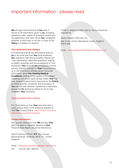# Important information - please read

**We** strongly recommend that **You** keep a record of all information given to **Us**, including telephone calls, copies of all letters, emails and the application and claim forms **You** completed whether in hard copy or on-line. A copy of the **Policy** is available on request.

#### **Your declaration and changes**

It is essential that all the information given to **Us** is accurate and that **You** have answered **Our** questions fully and accurately. Please see "Your declaration: important questions relating to health, activities and the acceptance of Your insurance". **You** must tell **Us** immediately if there are any relevant changes in **Your** circumstances or to the information already given. Accurate information about **Pre-Existing Medical Conditions** relating to the health of the people travelling and others upon whose health **Your** trip may depend is particularly important as the **Policy**  contains specific conditions and exclusions. If **You** are not sure whether something is important, please tell **Us** anyway as failure to do so may invalidate **Your** insurance.

## Data protection notice

For information on how **Your** personal data is used, please refer to the following website to read **Our** Privacy Policy: [https://travel-insurance.](https://travel-insurance.virginmoney.com/privacypolicy) [virginmoney.com/privacypolicy](https://travel-insurance.virginmoney.com/privacypolicy)

#### **Further Information**

Any queries relating to how **We** process **Your** personal data or requests relating to **Your** Personal Data Rights should be directed to:

Data Protection Officer, **ETI**, Afon House, Worthing Road, Horsham, RH12 1TL, United Kingdom

Email: [dataprotectionofficer@ergo-travel.co.uk](mailto:dataprotectionofficer%40ergo-travel.co.uk?subject=) Tel: +44 (0) 1403 788 510

Those in relation to data held by Taurus should be directed to:

Taurus Support Services Ltd

29a Crown Street, Brentwood, Essex, England. CM14 4BA

Email: [uk.dp.representative@taurussupport.com](mailto:uk.dp.representative%40taurussupport.com?subject=)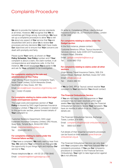# Complaints Procedure

**We** aim to provide the highest service standards at all times. However, **We** recognise that **We** do sometimes get things wrong. Accordingly, **We** have set up a complaints procedure to allow **You** to tell **Us** about any aspect of **Our** service that **You** are dissatisfied with and to allow **Us** to review **Our** processes and any decisions **We** might have made. **Our** objectives are to ensure that **Your** concerns are dealt with promptly and fairly.

Please quote **Your** name, as shown on **Your Policy Schedule**, **Your Policy** number and if **Your** complaint is about a claim, the claim number, in all correspondence and telephone calls. In the first instance, **We** would encourage **You** to write to **Us** and ask for **Your** complaint to be investigated:

#### **For complaints relating to the sale and administration of Your Policy**

Virgin Money Travel Insurance Complaints Team, Hood Travel Limited, 52/54 Alexandra Street, Southend-on-Sea, Essex, SS1 1BJ.

Email: [service@travel-insurance.virginmoney.com](mailto:service%40travel-insurance.virginmoney.com?subject=) Tel: 0330 175 8283

#### **For complaints relating to claims under the Legal Costs and Expenses section**

The Legal costs and expenses section of **Your Policy** is insured by DAS Legal Expenses Insurance Company Limited. If **You** wish to complain in relation to this particular section, please forward details of **Your** complaint to:

Customer Relations Department, DAS Legal Expenses Insurance Company Limited, DAS House, Quay Side, Temple Back, Bristol BS1 6NH

Email[: customerrelations@das.co.uk](mailto:%20customerrelations%40das.co.uk?subject=)

Tel: 0344 893 9013

#### **For complaints relating to claims under the Financial failure section**

If **You** have a complaint, **We** really want to hear from **You**. **We** welcome **Your** comments as they give **Us** the opportunity to put things right and improve **Our** service to **You**.

Please telephone **Us** on: +44 (0) 20 3758 0840 Email: [complaints@libertyglobalgroup.com](mailto:complaints%40libertyglobalgroup.com?subject=)

Or write to: Compliance Officer, Liberty Mutual Insurance Europe SE, 20 Fenchurch Street, London EC3M 3AW

#### **For complaints relating to claims under the Gadget section**

In the first instance, please contact: Customer Relations Officer, Taurus Insurance Services Limited, Suite 2209-2217 Eurotowers, Europort Road, Gibraltar.

Email: [gadget.complaints@taurus.gi](mailto:gadget.complaints%40taurus.gi?subject=)

Tel: 0330 880 1753

#### **For complaints relating to claims under all other sections**

Virgin Money Travel Insurance Claims, 308-314 London Road, Hadleigh, Benfleet, Essex SS7 2DD. Email: [info@csal.co.uk](mailto:info%40csal.co.uk?subject=) Tel: 01403 289 151

If **We** (or DAS, IPP or Taurus) cannot resolve **Your** complaint to **Your** satisfaction **You** should contact:

#### **The Financial Ombudsman Service**

If **You** are not happy with the response or **Your** complaint has not been resolved within eight weeks **You** may have the right to ask the Financial Ombudsman Service to review **Your** complaint. **You** have six months in which to do so. Their contact details are:

The Financial Ombudsman Service, Exchange Tower, London, E14 9SR.

Email: [complaint.info@financial-ombudsman.org.uk](mailto:complaint.info%40financial-ombudsman.org.uk%20?subject=) Tel: 0800 023 4567

Full details of their impartial complaints procedure can be found on their website: [www.financial](http://www.financial-ombudsman.org.uk)[ombudsman.org.uk](http://www.financial-ombudsman.org.uk)

The Financial Ombudsman Service can only deal with **Your** complaint after **You** have followed **Our** full complaints procedure. If **You** use **Our** complaints procedure or complain to the Financial Services Ombudsman, **Your** right to take legal action against **Us** is not affected.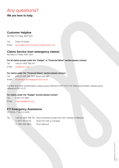# Any questions?

**We are here to help.**

# **Customer Helpline**

Monday to Friday, 9am-5pm

Tel: 0330 175 8283 Email: [service@travel-insurance.virginmoney.com](mailto:service%40travel-insurance.virginmoney.com?subject=)

## **Claims Service (non-emergency claims)**

Monday to Friday, 9am-5pm

### **For all claims except under the "Gadget" or "Financial failure" section please contact:**

Tel: +44 (0) 1403 788 701 Email: info@csal.co.uk

### **For claims under the "Financial failure" section please contact:**

Tel: +44 (0) 345 266 1872 (local rate call) Email: [insolvency-claims@ipplondon.co.uk](mailto:insolvency-claims%40ipplondon.co.uk?subject=)

For Red and Silver policyholders, please quote reference SAFI V1.21. For Gold policyholders, please quote reference ESFI V1.21.

## **For claims under the "Gadget" section please contact:**

Tel: 0330 175 7850 Email: [virgin.tiga@taurus.gi](mailto:virgin.tiga%40taurus.gi?subject=)

## **ETI Emergency Assistance**

24 hours, 7 days a week

|              | c |
|--------------|---|
| ×<br>ł       |   |
| $\sim$<br>۰. |   |
|              |   |

+44 (0) 1403 788 702 (from anywhere except the USA, Canada or Mexico) +1-877-311-3720 (from the USA or Canada)

+1-786-206-9921 (from Mexico)